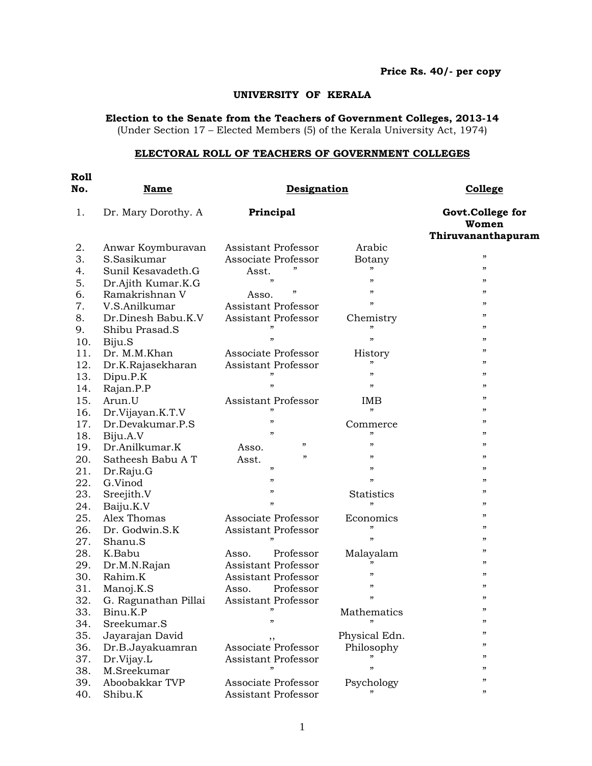## **UNIVERSITY OF KERALA**

**Election to the Senate from the Teachers of Government Colleges, 2013-14**  (Under Section 17 – Elected Members (5) of the Kerala University Act, 1974)

## **ELECTORAL ROLL OF TEACHERS OF GOVERNMENT COLLEGES**

| <b>Roll</b><br>No. | <b>Name</b>          | Designation                  |                            | <b>College</b>                                  |
|--------------------|----------------------|------------------------------|----------------------------|-------------------------------------------------|
| 1.                 | Dr. Mary Dorothy. A  | Principal                    |                            | Govt.College for<br>Women<br>Thiruvananthapuram |
| 2.                 | Anwar Koymburavan    | <b>Assistant Professor</b>   | Arabic                     |                                                 |
| 3.                 | S.Sasikumar          | Associate Professor          | Botany                     | "                                               |
| 4.                 | Sunil Kesavadeth.G   | Asst.                        | "                          | "                                               |
| 5.                 | Dr.Ajith Kumar.K.G   | ,                            | , 2                        | "                                               |
| 6.                 | Ramakrishnan V       | "<br>Asso.                   | $\boldsymbol{\mathcal{D}}$ | "                                               |
| 7.                 | V.S.Anilkumar        | <b>Assistant Professor</b>   | $\boldsymbol{\mathcal{D}}$ | "                                               |
| 8.                 | Dr.Dinesh Babu.K.V   | Assistant Professor          | Chemistry                  | "                                               |
| 9.                 | Shibu Prasad.S       |                              | "                          | $\boldsymbol{\mathcal{D}}$                      |
| 10.                | Biju.S               | "                            | $\boldsymbol{\mathcal{D}}$ | "                                               |
| 11.                | Dr. M.M.Khan         | Associate Professor          | History                    | "                                               |
| 12.                | Dr.K.Rajasekharan    | Assistant Professor          | "                          | "                                               |
| 13.                | Dipu.P.K             | "                            | $\boldsymbol{\mathcal{D}}$ | "                                               |
| 14.                | Rajan.P.P            | $\boldsymbol{\mathcal{D}}$   | "                          | "                                               |
| 15.                | Arun.U               | <b>Assistant Professor</b>   | IMB                        | "                                               |
| 16.                | Dr.Vijayan.K.T.V     | , 2                          | , ,                        | "                                               |
| 17.                | Dr.Devakumar.P.S     | "                            | Commerce                   | "                                               |
| 18.                | Biju.A.V             | "                            | $\boldsymbol{\mathcal{D}}$ | "                                               |
| 19.                | Dr.Anilkumar.K       | $\pmb{\mathcal{D}}$<br>Asso. | $\boldsymbol{\mathcal{D}}$ | "                                               |
| 20.                | Satheesh Babu AT     | , 2<br>Asst.                 | $\boldsymbol{\mathcal{D}}$ | "                                               |
| 21.                | Dr.Raju.G            | "                            | $\boldsymbol{\mathcal{D}}$ | "                                               |
| 22.                | G.Vinod              | "                            | $\boldsymbol{\mathcal{D}}$ | "                                               |
| 23.                | Sreejith.V           | "                            | Statistics                 | "                                               |
| 24.                | Baiju.K.V            | "                            | "                          | "                                               |
| 25.                | Alex Thomas          | Associate Professor          | Economics                  | "                                               |
| 26.                | Dr. Godwin.S.K       | Assistant Professor          | "                          | "                                               |
| 27.                | Shanu.S              | "                            | ,                          | "                                               |
| 28.                | K.Babu               | Professor<br>Asso.           | Malayalam                  | "                                               |
| 29.                | Dr.M.N.Rajan         | <b>Assistant Professor</b>   | "                          | "                                               |
| 30.                | Rahim.K              | <b>Assistant Professor</b>   | "                          | "                                               |
| 31.                | Manoj.K.S            | Professor<br>Asso.           | "                          | "                                               |
| 32.                | G. Ragunathan Pillai | Assistant Professor          | "                          | "                                               |
| 33.                | Binu.K.P             | $\boldsymbol{\mathcal{P}}$   | Mathematics                | "                                               |
| 34.                | Sreekumar.S          | $\pmb{\mathcal{D}}$          |                            | "                                               |
| 35.                | Jayarajan David      | ,,                           | Physical Edn.              | "                                               |
| 36.                | Dr.B.Jayakuamran     | Associate Professor          | Philosophy                 | "                                               |
| 37.                | Dr.Vijay.L           | <b>Assistant Professor</b>   |                            | "                                               |
| 38.                | M.Sreekumar          |                              | $\boldsymbol{\mathcal{D}}$ | "                                               |
| 39.                | Aboobakkar TVP       | Associate Professor          | Psychology                 | "                                               |
| 40.                | Shibu.K              | <b>Assistant Professor</b>   |                            | "                                               |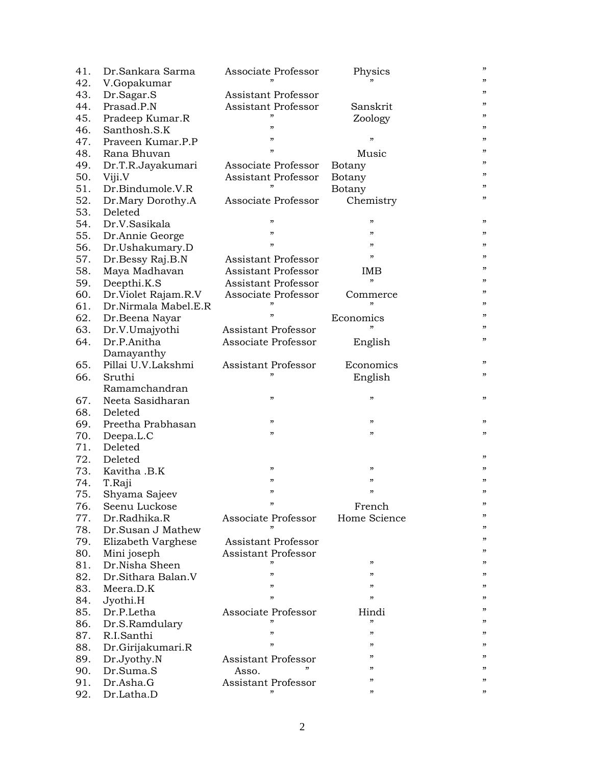| 41.        | Dr.Sankara Sarma              | Associate Professor        | Physics                    | $\boldsymbol{\mathcal{D}}$ |
|------------|-------------------------------|----------------------------|----------------------------|----------------------------|
| 42.        | V.Gopakumar                   |                            |                            | "                          |
| 43.        | Dr.Sagar.S                    | <b>Assistant Professor</b> |                            | "                          |
| 44.        | Prasad.P.N                    | Assistant Professor        | Sanskrit                   | "                          |
| 45.        | Pradeep Kumar.R               |                            | Zoology                    | "                          |
| 46.        | Santhosh.S.K                  | , ,                        |                            | "                          |
| 47.        | Praveen Kumar.P.P             | , ,                        | "                          | "                          |
| 48.        | Rana Bhuvan                   | , 2, 3                     | Music                      | "                          |
| 49.        | Dr.T.R.Jayakumari             | Associate Professor        | Botany                     | "                          |
| 50.        | Viji.V                        | Assistant Professor        | Botany                     | $\boldsymbol{\mathcal{D}}$ |
| 51.        | Dr.Bindumole.V.R              |                            | Botany                     | "                          |
| 52.        | Dr.Mary Dorothy.A             | Associate Professor        | Chemistry                  | "                          |
| 53.        | Deleted                       |                            |                            |                            |
| 54.        | Dr.V.Sasikala                 | "                          | "                          | $\boldsymbol{\mathcal{D}}$ |
| 55.        | Dr.Annie George               | $\boldsymbol{\mathcal{D}}$ | "                          | "                          |
| 56.        | Dr.Ushakumary.D               | $\boldsymbol{\mathcal{D}}$ | "                          | "                          |
| 57.        | Dr.Bessy Raj.B.N              | Assistant Professor        | "                          | "                          |
| 58.        | Maya Madhavan                 | Assistant Professor        | IMB                        | "                          |
| 59.        | Deepthi.K.S                   | <b>Assistant Professor</b> | "                          | $\boldsymbol{\mathcal{D}}$ |
| 60.        | Dr.Violet Rajam.R.V           | Associate Professor        | Commerce                   | "                          |
| 61.        | Dr.Nirmala Mabel.E.R          | "                          | , 2                        | "                          |
| 62.        |                               | "                          | Economics                  | "                          |
| 63.        | Dr.Beena Nayar                | Assistant Professor        | , 2                        | "                          |
| 64.        | Dr.V.Umajyothi<br>Dr.P.Anitha | Associate Professor        |                            | "                          |
|            | Damayanthy                    |                            | English                    |                            |
| 65.        | Pillai U.V.Lakshmi            | Assistant Professor        | Economics                  | "                          |
| 66.        | Sruthi                        | "                          |                            | , 2, 3                     |
|            | Ramamchandran                 |                            | English                    |                            |
|            |                               | $\pmb{\mathcal{D}}$        | "                          | "                          |
| 67.<br>68. | Neeta Sasidharan              |                            |                            |                            |
|            | Deleted                       | "                          | "                          | "                          |
| 69.        | Preetha Prabhasan             | "                          | "                          | "                          |
| 70.<br>71. | Deepa.L.C                     |                            |                            |                            |
| 72.        | Deleted<br>Deleted            |                            |                            | $\boldsymbol{\mathcal{D}}$ |
| 73.        |                               | "                          | "                          | "                          |
|            | Kavitha .B.K                  | "                          | "                          | $\boldsymbol{\mathcal{D}}$ |
| 74.        | T.Raji                        | , 2                        | $\boldsymbol{\mathcal{D}}$ | $\boldsymbol{\mathcal{D}}$ |
| 75.        | Shyama Sajeev                 | $\pmb{\mathcal{P}}$        |                            | $\boldsymbol{\mathcal{D}}$ |
| 76.        | Seenu Luckose                 |                            | French                     | "                          |
| 77.        | Dr.Radhika.R                  | Associate Professor        | Home Science               | "                          |
| 78.        | Dr.Susan J Mathew             |                            |                            | "                          |
| 79.        | Elizabeth Varghese            | <b>Assistant Professor</b> |                            | $\boldsymbol{\mathcal{D}}$ |
| 80.        | Mini joseph                   | <b>Assistant Professor</b> | "                          | $\boldsymbol{\mathcal{D}}$ |
| 81.        | Dr.Nisha Sheen                | "                          | "                          | $\boldsymbol{\mathcal{D}}$ |
| 82.        | Dr.Sithara Balan.V            | , 2                        | "                          | $\boldsymbol{\mathcal{D}}$ |
| 83.        | Meera.D.K                     | "                          | "                          | $\boldsymbol{\mathcal{D}}$ |
| 84.        | Jyothi.H                      |                            |                            | "                          |
| 85.        | Dr.P.Letha                    | Associate Professor        | Hindi<br>"                 | "                          |
| 86.        | Dr.S.Ramdulary                | "                          | "                          |                            |
| 87.        | R.I.Santhi                    | "                          | "                          | "<br>"                     |
| 88.        | Dr.Girijakumari.R             |                            | "                          | "                          |
| 89.        | Dr.Jyothy.N                   | Assistant Professor        | "                          | "                          |
| 90.        | Dr.Suma.S                     | Asso.                      |                            | $\boldsymbol{\mathcal{D}}$ |
| 91.        | Dr.Asha.G                     | <b>Assistant Professor</b> | "                          |                            |
| 92.        | Dr.Latha.D                    |                            | "                          | "                          |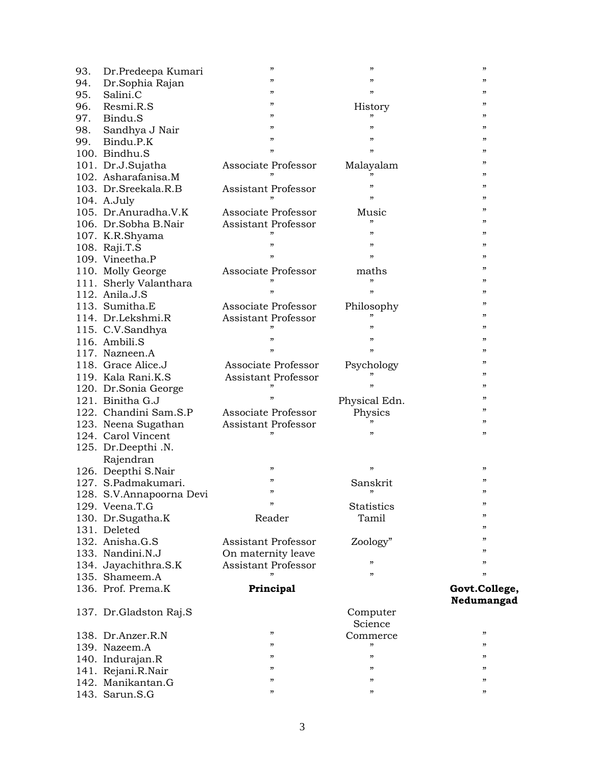| 93. | Dr.Predeepa Kumari                 | "                          | "             | "             |
|-----|------------------------------------|----------------------------|---------------|---------------|
| 94. | Dr.Sophia Rajan                    | "                          | "             | "             |
| 95. | Salini.C                           | "                          | "             | "             |
| 96. | Resmi.R.S                          | "                          | History       | "             |
| 97. | Bindu.S                            | "                          | "             | "             |
| 98. | Sandhya J Nair                     | "                          | , 2           | "             |
| 99. | Bindu.P.K                          | "                          | , 2           | "             |
|     | 100. Bindhu.S                      | "                          | , 2           | "             |
|     | 101. Dr.J.Sujatha                  | Associate Professor        | Malayalam     | "             |
|     | 102. Asharafanisa.M                |                            |               | "             |
|     | 103. Dr.Sreekala.R.B               | Assistant Professor        | "             | "             |
|     | 104. A.July                        |                            | "             | "             |
|     | 105. Dr.Anuradha.V.K               | Associate Professor        | Music         | "             |
|     | 106. Dr.Sobha B.Nair               | <b>Assistant Professor</b> | "             | "             |
|     |                                    |                            | "             | "             |
|     | 107. K.R.Shyama                    | "                          | , 2           | "             |
|     | 108. Raji.T.S                      | "                          | "             | "             |
|     | 109. Vineetha.P                    |                            |               | "             |
|     | 110. Molly George                  | Associate Professor<br>"   | maths<br>"    | "             |
|     | 111. Sherly Valanthara             | "                          | "             | "             |
|     | 112. Anila.J.S                     |                            |               |               |
|     | 113. Sumitha.E                     | Associate Professor        | Philosophy    | , 2           |
|     | 114. Dr.Lekshmi.R                  | Assistant Professor        |               | , 2           |
|     | 115. C.V.Sandhya                   |                            | "             | , 2           |
|     | 116. Ambili.S                      | "                          | "             | "             |
|     | 117. Nazneen.A                     | "                          | "             | "             |
|     | 118. Grace Alice.J                 | Associate Professor        | Psychology    | "             |
|     | 119. Kala Rani.K.S                 | <b>Assistant Professor</b> |               | "             |
|     | 120. Dr.Sonia George               | "                          | , 2           | "             |
|     | 121. Binitha G.J                   | "                          | Physical Edn. | "             |
|     | 122. Chandini Sam.S.P              | Associate Professor        | Physics       | "             |
|     | 123. Neena Sugathan                | Assistant Professor        | , 2           | "             |
|     | 124. Carol Vincent                 |                            | "             | "             |
|     | 125. Dr.Deepthi .N.                |                            |               |               |
|     | Rajendran                          |                            |               |               |
|     | 126. Deepthi S.Nair                | "                          | , 2           | "             |
|     | 127. S.Padmakumari.                | "                          | Sanskrit      | "             |
|     | 128. S.V. Annapoorna Devi          | "                          | "             | "             |
|     | 129. Veena.T.G                     | "                          | Statistics    | "             |
|     | 130. Dr.Sugatha.K                  | Reader                     | Tamil         | "             |
|     | 131. Deleted                       |                            |               | "             |
|     | 132. Anisha.G.S                    | <b>Assistant Professor</b> | Zoology"      | "             |
|     | 133. Nandini.N.J                   | On maternity leave         |               | "             |
|     | 134. Jayachithra.S.K               | <b>Assistant Professor</b> | "             | "             |
|     | 135. Shameem.A                     |                            | "             | "             |
|     | 136. Prof. Prema.K                 | Principal                  |               | Govt.College, |
|     |                                    |                            |               | Nedumangad    |
|     | 137. Dr. Gladston Raj. S           |                            | Computer      |               |
|     |                                    |                            | Science       |               |
|     |                                    | "                          |               | "             |
|     | 138. Dr.Anzer.R.N<br>139. Nazeem.A | "                          | Commerce      | "             |
|     |                                    | "                          | "             | "             |
|     | 140. Indurajan.R                   | "                          | "             | "             |
|     | 141. Rejani.R.Nair                 | "                          | "             | "             |
|     | 142. Manikantan.G                  | "                          | "             | "             |
|     | 143. Sarun.S.G                     |                            |               |               |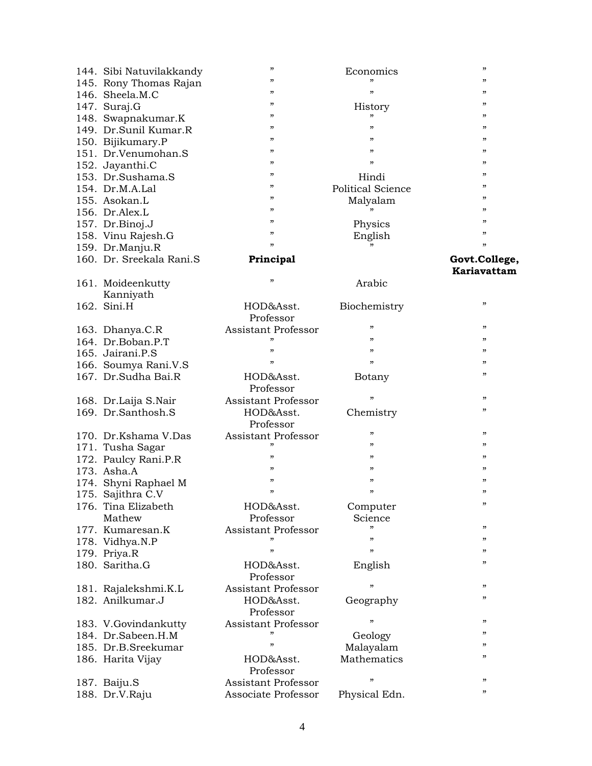| 144. Sibi Natuvilakkandy | "                               | Economics                  | "                            |
|--------------------------|---------------------------------|----------------------------|------------------------------|
| 145. Rony Thomas Rajan   | "                               |                            | "                            |
| 146. Sheela.M.C          | "                               | , 2                        | $\boldsymbol{\mathcal{D}}$   |
| 147. Suraj.G             | "                               | History                    | $\boldsymbol{\mathcal{D}}$   |
| 148. Swapnakumar.K       | "                               | "                          | $\boldsymbol{\mathcal{D}}$   |
| 149. Dr.Sunil Kumar.R    | "                               | , ,                        | "                            |
| 150. Bijikumary.P        | "                               | , 2                        | "                            |
| 151. Dr.Venumohan.S      | "                               | , 2                        | "                            |
| 152. Jayanthi.C          | "                               | , 2                        | "                            |
| 153. Dr.Sushama.S        | "                               | Hindi                      | "                            |
| 154. Dr.M.A.Lal          | "                               | <b>Political Science</b>   | "                            |
| 155. Asokan.L            | "                               | Malyalam                   | "                            |
| 156. Dr.Alex.L           | "                               |                            | "                            |
| 157. Dr.Binoj.J          | "                               | Physics                    | $\pmb{\mathcal{D}}$          |
|                          | "                               |                            | $\pmb{\mathcal{D}}$          |
| 158. Vinu Rajesh.G       | $\pmb{\mathcal{D}}$             | English                    | $\boldsymbol{\mathcal{D}}$   |
| 159. Dr.Manju.R          |                                 |                            |                              |
| 160. Dr. Sreekala Rani.S | Principal                       |                            | Govt.College,<br>Kariavattam |
|                          | , 2                             |                            |                              |
| 161. Moideenkutty        |                                 | Arabic                     |                              |
| Kanniyath                |                                 |                            | "                            |
| 162. Sini.H              | HOD&Asst.                       | Biochemistry               |                              |
|                          | Professor                       | $\boldsymbol{\mathcal{P}}$ | "                            |
| 163. Dhanya.C.R          | <b>Assistant Professor</b><br>, |                            |                              |
| 164. Dr.Boban.P.T        |                                 | $"$                        | "                            |
| 165. Jairani.P.S         | , 2                             | $"$                        | "                            |
| 166. Soumya Rani.V.S     | $\pmb{\mathcal{D}}$             | $"$                        | "                            |
| 167. Dr.Sudha Bai.R      | HOD&Asst.<br>Professor          | Botany                     | "                            |
| 168. Dr.Laija S.Nair     | <b>Assistant Professor</b>      | $\boldsymbol{\mathcal{P}}$ | "                            |
| 169. Dr.Santhosh.S       | HOD&Asst.                       | Chemistry                  | "                            |
|                          | Professor                       |                            |                              |
| 170. Dr.Kshama V.Das     | Assistant Professor             | "                          | "                            |
| 171. Tusha Sagar         |                                 | $\boldsymbol{\mathcal{D}}$ | $\boldsymbol{\mathcal{D}}$   |
| 172. Paulcy Rani.P.R     | "                               | "                          | $\boldsymbol{\mathcal{D}}$   |
| 173. Asha.A              | "                               | "                          | "                            |
| 174. Shyni Raphael M     | "                               | "                          | "                            |
| 175. Sajithra C.V        | "                               | "                          | "                            |
| 176. Tina Elizabeth      | HOD&Asst.                       | Computer                   | "                            |
| Mathew                   | Professor                       | Science                    |                              |
| 177. Kumaresan.K         | <b>Assistant Professor</b>      | "                          | "                            |
| 178. Vidhya.N.P          |                                 | "                          | "                            |
| 179. Priya.R             | "                               | $\boldsymbol{\mathcal{P}}$ | "                            |
| 180. Saritha.G           | HOD&Asst.                       | English                    | "                            |
|                          | Professor                       |                            |                              |
| 181. Rajalekshmi.K.L     | <b>Assistant Professor</b>      | $\boldsymbol{\mathcal{P}}$ | $\boldsymbol{\mathcal{D}}$   |
| 182. Anilkumar.J         | HOD&Asst.                       | Geography                  | "                            |
|                          | Professor                       |                            |                              |
| 183. V.Govindankutty     | Assistant Professor             | $\boldsymbol{\mathcal{P}}$ | "                            |
| 184. Dr.Sabeen.H.M       |                                 | Geology                    | "                            |
| 185. Dr.B.Sreekumar      | "                               | Malayalam                  | "                            |
| 186. Harita Vijay        | HOD&Asst.                       | Mathematics                | "                            |
|                          | Professor                       |                            |                              |
| 187. Baiju.S             | <b>Assistant Professor</b>      | $\boldsymbol{\mathcal{P}}$ | $\pmb{\mathcal{P}}$          |
| 188. Dr.V.Raju           | Associate Professor             | Physical Edn.              | $\boldsymbol{\mathcal{D}}$   |
|                          |                                 |                            |                              |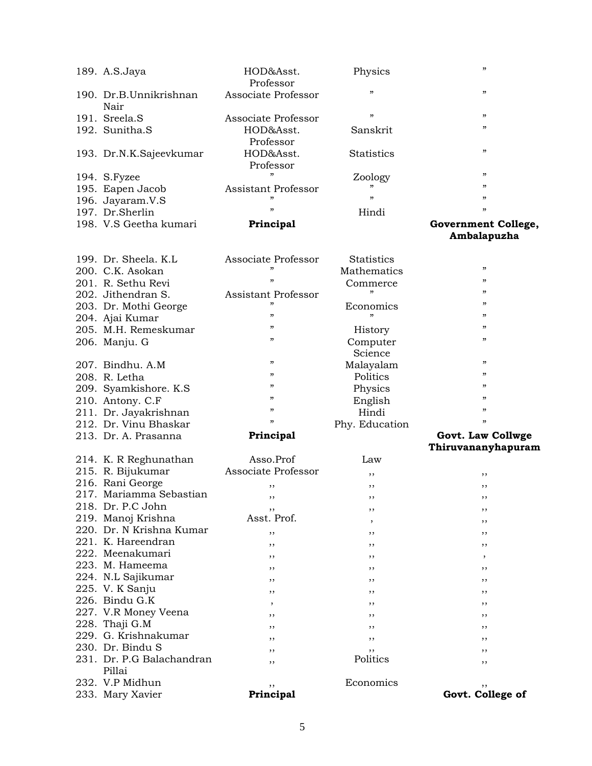| 189. A.S. Jaya          | HOD&Asst.           | Physics           | , 2, 3              |
|-------------------------|---------------------|-------------------|---------------------|
|                         | Professor           |                   |                     |
| 190. Dr.B.Unnikrishnan  | Associate Professor | , 2, 3            | , 22                |
| Nair                    |                     |                   |                     |
| 191. Sreela.S           | Associate Professor | , 2               | , 2                 |
| 192. Sunitha.S          | HOD&Asst.           | Sanskrit          | , 22                |
|                         | Professor           |                   |                     |
| 193. Dr.N.K.Sajeevkumar | HOD&Asst.           | <b>Statistics</b> | , 2                 |
|                         | Professor           |                   |                     |
| 194. S.Fyzee            | "                   | Zoology           | "                   |
| 195. Eapen Jacob        | Assistant Professor | "                 | , 22                |
| 196. Jayaram.V.S        | , 22                | , 2, 3            | , 22                |
| 197. Dr.Sherlin         | , 2                 | Hindi             | "                   |
| 198. V.S Geetha kumari  | Principal           |                   | Government College, |

**Ambalapuzha** 

| 199. Dr. Sheela. K.L   | Associate Professor        | <b>Statistics</b> |                   |
|------------------------|----------------------------|-------------------|-------------------|
| 200. C.K. Asokan       | "                          | Mathematics       | , 2               |
| 201. R. Sethu Revi     | "                          | Commerce          | "                 |
| 202. Jithendran S.     | Assistant Professor        | "                 | "                 |
| 203. Dr. Mothi George  | "                          | Economics         | "                 |
| 204. Ajai Kumar        | , 2                        | ,,                | "                 |
| 205. M.H. Remeskumar   | "                          | History           | "                 |
| 206. Manju. G          | "                          | Computer          | "                 |
|                        |                            | Science           |                   |
| 207. Bindhu, A.M.      | "                          | Malayalam         | "                 |
| 208. R. Letha          | "                          | Politics          | "                 |
| 209. Syamkishore. K.S. | "                          | Physics           | "                 |
| 210. Antony. C.F       | "                          | English           | "                 |
| 211. Dr. Jayakrishnan  | "                          | Hindi             | "                 |
| 212. Dr. Vinu Bhaskar  | $\boldsymbol{\mathcal{D}}$ | Phy. Education    | , 2               |
| 213. Dr. A. Prasanna   | Principal                  |                   | Govt. Law Collwge |

# **Thiruvananyhapuram**

| 214. K. R Reghunathan     | Asso.Prof           | Law       |                          |
|---------------------------|---------------------|-----------|--------------------------|
| 215. R. Bijukumar         | Associate Professor | , ,       | ,,                       |
| 216. Rani George          | ,,                  | , ,       | , ,                      |
| 217. Mariamma Sebastian   | , ,                 | $, \,$    | ,,                       |
| 218. Dr. P.C John         | , ,                 | , ,       | , ,                      |
| 219. Manoj Krishna        | Asst. Prof.         | $\cdot$   | , ,                      |
| 220. Dr. N Krishna Kumar  | , ,                 | ,,        | , ,                      |
| 221. K. Hareendran        | , ,                 | ,,        | , ,                      |
| 222. Meenakumari          | , ,                 | ,,        | $\overline{\phantom{a}}$ |
| 223. M. Hameema           | , ,                 | ,,        | , ,                      |
| 224. N.L Sajikumar        | , ,                 | ,,        | ,,                       |
| 225. V. K Sanju           | , ,                 | ,,        | , ,                      |
| $226.$ Bindu G.K          | $\cdot$             | ,,        | , ,                      |
| 227. V.R Money Veena      | , ,                 | , ,       | , ,                      |
| 228. Thaji G.M            | ,,                  | ,,        | ,,                       |
| 229. G. Krishnakumar      | , ,                 | , ,       | , ,                      |
| 230. Dr. Bindu S          | , ,                 | , ,       | , ,                      |
| 231. Dr. P.G Balachandran | , ,                 | Politics  | , ,                      |
| Pillai                    |                     |           |                          |
| 232. V.P Midhun           | $, \,$              | Economics | , ,                      |
| 233. Mary Xavier          | Principal           |           | Govt. College of         |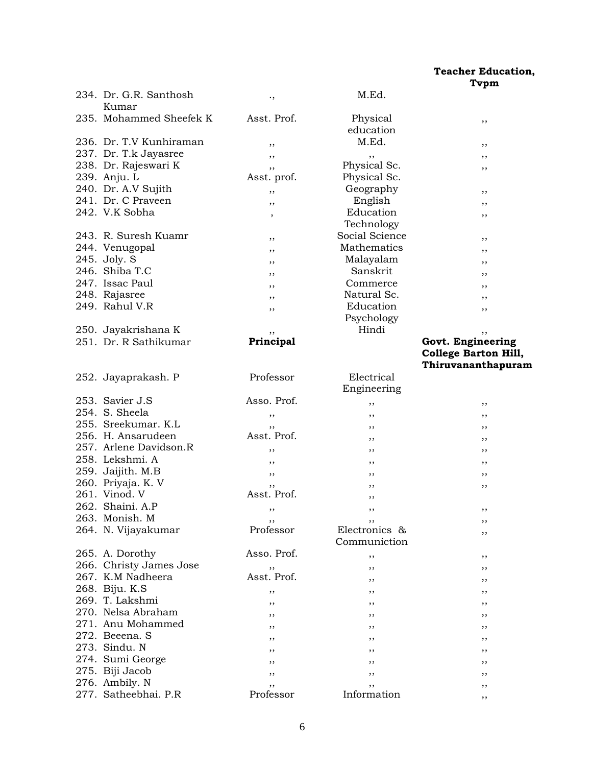### **Teacher Education, Tvpm**

| 234. Dr. G.R. Santhosh                 | ٠,              | M.Ed.             |                             |
|----------------------------------------|-----------------|-------------------|-----------------------------|
| Kumar                                  |                 |                   |                             |
| 235. Mohammed Sheefek K                | Asst. Prof.     | Physical          | ,,                          |
|                                        |                 | education         |                             |
| 236. Dr. T.V Kunhiraman                | ,,              | M.Ed.             | ,,                          |
| 237. Dr. T.k Jayasree                  | ,,              | ,,                | ,,                          |
| 238. Dr. Rajeswari K                   | ,,              | Physical Sc.      | ,,                          |
| 239. Anju. L                           | Asst. prof.     | Physical Sc.      |                             |
| 240. Dr. A.V Sujith                    | ,,              | Geography         | ,,                          |
| 241. Dr. C Praveen                     | ,,              | English           | ,,                          |
| 242. V.K Sobha                         | $\, ,$          | Education         | ,,                          |
|                                        |                 | Technology        |                             |
| 243. R. Suresh Kuamr                   | ,,              | Social Science    | ,,                          |
| 244. Venugopal                         | ,,              | Mathematics       | ,,                          |
| 245. Joly. S                           | ,,              | Malayalam         | ,,                          |
| 246. Shiba T.C                         | ,,              | Sanskrit          | ,,                          |
| 247. Issac Paul                        | ,,              | Commerce          | ,,                          |
| 248. Rajasree                          | ,,              | Natural Sc.       | ,,                          |
| 249. Rahul V.R                         | ,,              | Education         | ,,                          |
|                                        |                 | Psychology        |                             |
| 250. Jayakrishana K                    | ,,              | Hindi             | ,,                          |
| 251. Dr. R Sathikumar                  | Principal       |                   | Govt. Engineering           |
|                                        |                 |                   | <b>College Barton Hill,</b> |
|                                        |                 |                   | Thiruvananthapuram          |
| 252. Jayaprakash. P                    | Professor       | Electrical        |                             |
|                                        |                 | Engineering       |                             |
| 253. Savier J.S                        | Asso. Prof.     | ,,                | ,,                          |
| 254. S. Sheela                         | ,,              | ,,                | ,,                          |
| 255. Sreekumar. K.L                    | ,,              | ,,                | ,,                          |
| 256. H. Ansarudeen                     | Asst. Prof.     | ,,                | ,,                          |
| 257. Arlene Davidson.R                 | ,,              | ,,                | ,,                          |
| 258. Lekshmi. A                        | ,,              | ,,                | ,,                          |
| 259. Jaijith. M.B                      | ,,              | ,,                | ,,                          |
| 260. Priyaja. K. V                     | ,,              | ,,                | ,,                          |
| 261. Vinod. V                          | Asst. Prof.     | ,,                |                             |
| 262. Shaini. A.P                       | ,,              | ,,                | ,,                          |
| 263. Monish. M                         | ,,              | ,,                | ,,                          |
| 264. N. Vijayakumar                    | Professor       | Electronics &     | ,,                          |
|                                        |                 | Communiction      |                             |
| 265. A. Dorothy                        | Asso. Prof.     | ,,                | ,,                          |
| 266. Christy James Jose                | ,,              | ,,                | ,,                          |
| 267. K.M Nadheera                      | Asst. Prof.     | ,,                | ,,                          |
| 268. Biju. K.S                         | ,,              | ,,                | ,,                          |
| 269. T. Lakshmi                        | ,,              | ,,                | ,,                          |
| 270. Nelsa Abraham                     | ,,              | ,,                | ,,                          |
| 271. Anu Mohammed                      | ,,              | ,,                | ,,                          |
| 272. Beeena. S                         | ,,              | ,,                | ,,                          |
| 273. Sindu. N                          | ,,              | ,,                | ,,                          |
|                                        |                 |                   |                             |
| 274. Sumi George                       | ,,              | ,,                | ,,                          |
| 275. Biji Jacob                        | ,,              | ,,                | ,,                          |
| 276. Ambily. N<br>277. Satheebhai. P.R | ,,<br>Professor | ,,<br>Information | ,,                          |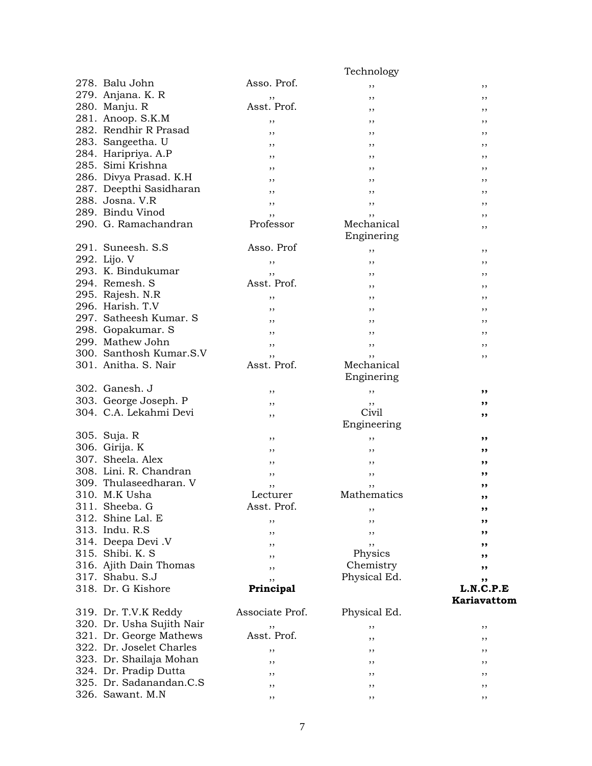|                                       |                   | Technology       |                    |
|---------------------------------------|-------------------|------------------|--------------------|
| 278. Balu John                        | Asso. Prof.       | ,,               | ,,                 |
| 279. Anjana. K. R                     | ,,                | ,,               | ,,                 |
| 280. Manju. R                         | Asst. Prof.       | ,,               | ,,                 |
| 281. Anoop. S.K.M                     | ,,                | ,,               | ,,                 |
| 282. Rendhir R Prasad                 | ,,                | ,,               | ,,                 |
| 283. Sangeetha. U                     | ,,                | ,,               | ,,                 |
| 284. Haripriya. A.P                   | , ,               | ,,               | ,,                 |
| 285. Simi Krishna                     | ,,                | ,,               | ,,                 |
| 286. Divya Prasad. K.H                | ,,                | ,,               | ,,                 |
| 287. Deepthi Sasidharan               | ,,                | ,,               | ,,                 |
| 288. Josna. V.R                       | ,,                | ,,               | ,,                 |
| 289. Bindu Vinod                      | ,,                | ,,               | ,,                 |
| 290. G. Ramachandran                  | Professor         | Mechanical       | ,,                 |
|                                       |                   | Enginering       |                    |
| 291. Suneesh. S.S.                    | Asso. Prof        | ,,               | ,,                 |
| 292. Lijo. V                          | ,,                | , ,              | ,,                 |
| 293. K. Bindukumar<br>294. Remesh. S  | ,,                | ,,               | ,,                 |
|                                       | Asst. Prof.       | ,,               | ,,                 |
| 295. Rajesh. N.R                      | ,,                | ,,               | ,,                 |
| 296. Harish. T.V                      | ,,                | ,,               | ,,                 |
| 297. Satheesh Kumar. S                | ,,                | ,,               | ,,                 |
| 298. Gopakumar. S<br>299. Mathew John | ,,                | ,,               | ,,                 |
| 300. Santhosh Kumar.S.V               | ,,                | ,,               | ,,                 |
| 301. Anitha. S. Nair                  | ,,<br>Asst. Prof. | ,,<br>Mechanical | ,,                 |
|                                       |                   | Enginering       |                    |
| 302. Ganesh. J                        |                   |                  |                    |
| 303. George Joseph. P                 | ,,                | ,,               | ,,                 |
| 304. C.A. Lekahmi Devi                | ,,                | ,,<br>Civil      | ,,                 |
|                                       | ,,                | Engineering      | ,,                 |
| 305. Suja. R                          |                   |                  |                    |
| 306. Girija. K                        | ,,<br>, ,         | ,,<br>,,         | ,,<br>,,           |
| 307. Sheela. Alex                     | ,,                | ,,               | ,,                 |
| 308. Lini. R. Chandran                | ,,                | ,,               | ,,                 |
| 309. Thulaseedharan. V                | ,,                | ,,               | ,,                 |
| 310. M.K Usha                         | Lecturer          | Mathematics      | ,,                 |
| 311. Sheeba. G                        | Asst. Prof.       | ,,               | ,,                 |
| 312. Shine Lal. E                     | ,,                | ,,               | ,,                 |
| 313. Indu. R.S                        | ,,                | ,,               | ,,                 |
| 314. Deepa Devi .V                    | ,,                | ,,               | ,,                 |
| 315. Shibi. K. S                      | ,,                | Physics          | ,,                 |
| 316. Ajith Dain Thomas                | ,,                | Chemistry        | ,,                 |
| 317. Shabu. S.J                       | ,,                | Physical Ed.     | ,,                 |
| 318. Dr. G Kishore                    | Principal         |                  | L.N.C.P.E          |
|                                       |                   |                  | <b>Kariavattom</b> |
| 319. Dr. T.V.K Reddy                  | Associate Prof.   | Physical Ed.     |                    |
| 320. Dr. Usha Sujith Nair             | ,,                | ,,               | ,,                 |
| 321. Dr. George Mathews               | Asst. Prof.       | ,,               | ,,                 |
| 322. Dr. Joselet Charles              | ,,                | ,,               | ,,                 |
| 323. Dr. Shailaja Mohan               | ,,                | ,,               | ,,                 |
| 324. Dr. Pradip Dutta                 | ,,                | ,,               | ,,                 |
| 325. Dr. Sadanandan.C.S               | ,,                | ,,               | ,,                 |
| 326. Sawant. M.N                      |                   |                  |                    |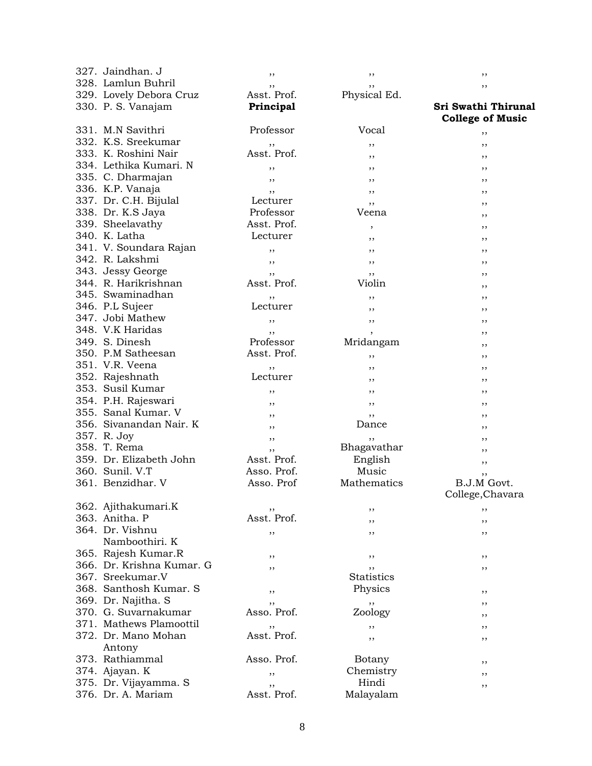| 327. Jaindhan. J          | ,,                | ,,                | ,,                                             |
|---------------------------|-------------------|-------------------|------------------------------------------------|
| 328. Lamlun Buhril        | , ,               | ,,                | ,,                                             |
| 329. Lovely Debora Cruz   | Asst. Prof.       | Physical Ed.      |                                                |
| 330. P. S. Vanajam        | Principal         |                   | Sri Swathi Thirunal<br><b>College of Music</b> |
| 331. M.N Savithri         | Professor         | Vocal             | ,,                                             |
| 332. K.S. Sreekumar       |                   | ,,                | ,,                                             |
| 333. K. Roshini Nair      | Asst. Prof.       | ,,                | ,,                                             |
| 334. Lethika Kumari. N    | ,,                | , ,               | ,,                                             |
| 335. C. Dharmajan         | ,,                | , ,               | , ,                                            |
| 336. K.P. Vanaja          | ,,                | ,,                | ,,                                             |
| 337. Dr. C.H. Bijulal     | Lecturer          | , ,               | ,,                                             |
| 338. Dr. K.S Jaya         | Professor         | Veena             | ,,                                             |
| 339. Sheelavathy          | Asst. Prof.       |                   |                                                |
| 340. K. Latha             | Lecturer          | $\, ,$            | ,,                                             |
| 341. V. Soundara Rajan    |                   | ,,                | ,,                                             |
| 342. R. Lakshmi           | ,,                | ,,                | ,,                                             |
| 343. Jessy George         | ,,                | ,,                | ,,                                             |
| 344. R. Harikrishnan      | ,,<br>Asst. Prof. | ,,<br>Violin      | ,,                                             |
| 345. Swaminadhan          |                   |                   | ,,                                             |
| 346. P.L Sujeer           | ,,<br>Lecturer    | ,,                | ,,                                             |
| 347. Jobi Mathew          |                   | ,,                | ,,                                             |
| 348. V.K Haridas          | ,,                | ,,                | ,,                                             |
| 349. S. Dinesh            | ,,<br>Professor   |                   | ,,                                             |
| 350. P.M Satheesan        | Asst. Prof.       | Mridangam         | ,,                                             |
|                           |                   | ,,                | ,,                                             |
| 351. V.R. Veena           | ,,                | ,,                | ,,                                             |
| 352. Rajeshnath           | Lecturer          | ,,                | ,,                                             |
| 353. Susil Kumar          | ,,                | ,,                | ,,                                             |
| 354. P.H. Rajeswari       | ,,                | ,,                | ,,                                             |
| 355. Sanal Kumar. V       | ,,                | ,,                | ,,                                             |
| 356. Sivanandan Nair. K   | ,,                | Dance             | ,,                                             |
| 357. R. Joy               | ,,                | ,,                | ,,                                             |
| 358. T. Rema              | ,,                | Bhagavathar       | ,,                                             |
| 359. Dr. Elizabeth John   | Asst. Prof.       | English           | ,,                                             |
| 360. Sunil. V.T           | Asso. Prof.       | Music             | ,,                                             |
| 361. Benzidhar. V         | Asso. Prof        | Mathematics       | B.J.M Govt.<br>College, Chavara                |
| 362. Ajithakumari.K       | ,,                | ,,                | ,,                                             |
| 363. Anitha. P            | Asst. Prof.       | ,,                | ,,                                             |
| 364. Dr. Vishnu           | ,,                | ,,                | ,,                                             |
| Namboothiri. K            |                   |                   |                                                |
| 365. Rajesh Kumar.R       | ,,                | ,,                | ,,                                             |
| 366. Dr. Krishna Kumar. G | ,,                | ,,                | ,,                                             |
| 367. Sreekumar.V          |                   | <b>Statistics</b> |                                                |
| 368. Santhosh Kumar. S    |                   | Physics           |                                                |
| 369. Dr. Najitha. S       | ,,                |                   | ,,                                             |
| 370. G. Suvarnakumar      | ,,<br>Asso. Prof. | ,,<br>Zoology     | ,,                                             |
| 371. Mathews Plamoottil   |                   |                   | ,,                                             |
| 372. Dr. Mano Mohan       | ,,<br>Asst. Prof. | ,,                | ,,                                             |
| Antony                    |                   | ,,                | ,,                                             |
| 373. Rathiammal           | Asso. Prof.       | Botany            |                                                |
| 374. Ajayan. K            |                   | Chemistry         | ,,                                             |
| 375. Dr. Vijayamma. S     | ,,                | Hindi             | ,,                                             |
| 376. Dr. A. Mariam        | ,,<br>Asst. Prof. | Malayalam         | ,,                                             |
|                           |                   |                   |                                                |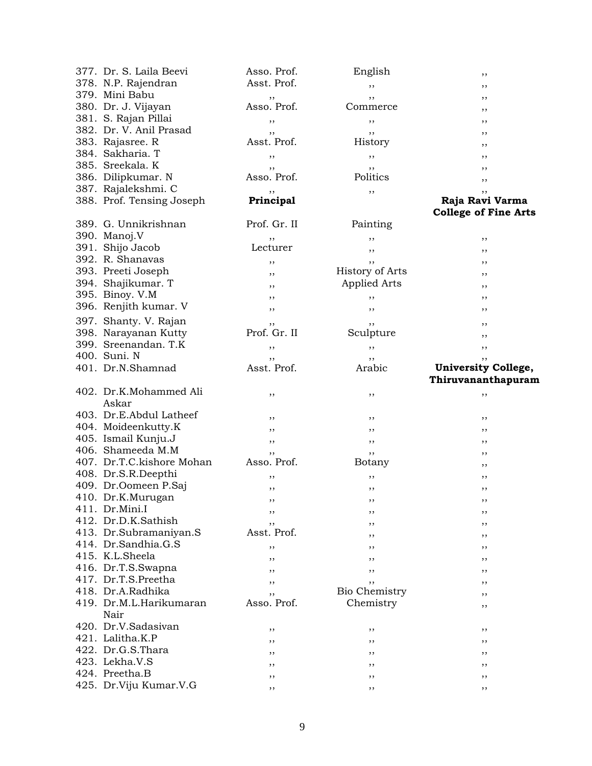| 377. Dr. S. Laila Beevi                     | Asso. Prof.        | English         | ,,                          |
|---------------------------------------------|--------------------|-----------------|-----------------------------|
| 378. N.P. Rajendran                         | Asst. Prof.        | ,,              | ,,                          |
| 379. Mini Babu                              | ,,                 | ,,              | ,,                          |
| 380. Dr. J. Vijayan                         | Asso. Prof.        | Commerce        |                             |
| 381. S. Rajan Pillai                        |                    |                 | ,,                          |
| 382. Dr. V. Anil Prasad                     | ,,                 | ,,              | ,,                          |
| 383. Rajasree. R                            | ,,<br>Asst. Prof.  | ,,<br>History   | ,,                          |
| 384. Sakharia. T                            |                    |                 | ,,                          |
| 385. Sreekala. K                            | ,,                 | ,,              | ,,                          |
|                                             | ,,<br>Asso. Prof.  | ,,<br>Politics  | ,,                          |
| 386. Dilipkumar. N                          |                    |                 | ,,                          |
| 387. Rajalekshmi. C                         | ,,                 | ,,              | ,,                          |
| 388. Prof. Tensing Joseph                   | Principal          |                 | Raja Ravi Varma             |
|                                             |                    |                 | <b>College of Fine Arts</b> |
| 389. G. Unnikrishnan                        | Prof. Gr. II       | Painting        |                             |
| 390. Manoj.V                                | ,,                 | ,,              | ,,                          |
| 391. Shijo Jacob                            | Lecturer           | ,,              | ,,                          |
| 392. R. Shanavas                            | , ,                | ,,              | ,,                          |
| 393. Preeti Joseph                          | ,,                 | History of Arts | ,,                          |
| 394. Shajikumar. T                          | , ,                | Applied Arts    | ,,                          |
| 395. Binoy. V.M                             | ,,                 | ,,              | ,,                          |
| 396. Renjith kumar. V                       | ,,                 | ,,              | ,,                          |
| 397. Shanty. V. Rajan                       |                    |                 |                             |
| 398. Narayanan Kutty                        | ,,<br>Prof. Gr. II | ,,<br>Sculpture | ,,                          |
| 399. Sreenandan. T.K                        |                    |                 | ,,                          |
| 400. Suni. N                                | ,,                 | ,,              | ,,                          |
| 401. Dr.N.Shamnad                           | ,,<br>Asst. Prof.  | ,,<br>Arabic    | ,,                          |
|                                             |                    |                 | <b>University College,</b>  |
|                                             |                    |                 | Thiruvananthapuram          |
|                                             |                    |                 |                             |
| 402. Dr.K.Mohammed Ali                      | ,,                 | ,,              | ,,                          |
| Askar                                       |                    |                 |                             |
| 403. Dr.E.Abdul Latheef                     | , ,                | $, \,$          | ,,                          |
| 404. Moideenkutty.K                         | ,,                 | ,,              | ,,                          |
| 405. Ismail Kunju.J                         | ,,                 | ,,              | ,,                          |
| 406. Shameeda M.M                           | ,,                 | ,,              | ,,                          |
| 407. Dr.T.C.kishore Mohan                   | Asso. Prof.        | Botany          | ,,                          |
| 408. Dr.S.R.Deepthi                         | ,,                 | ,,              | ,,                          |
| 409. Dr.Oomeen P.Saj                        | ,,                 | ,,              | ,,                          |
| 410. Dr.K.Murugan                           |                    |                 |                             |
| 411. Dr.Mini.I                              | ,,                 | ,,              | ,,                          |
| 412. Dr.D.K.Sathish                         | ,,                 | ,,              | ,,                          |
| 413. Dr.Subramaniyan.S                      | Asst. Prof.        |                 |                             |
| 414. Dr.Sandhia.G.S                         |                    | ,,              | ,,                          |
| 415. K.L.Sheela                             | ,,                 | ,,              | ,,                          |
|                                             | ,,                 | ,,              | ,,                          |
| 416. Dr.T.S.Swapna                          | ,,                 | ,,              | ,,                          |
| 417. Dr.T.S.Preetha                         | ,,                 | ,,              | ,,                          |
| 418. Dr.A.Radhika                           | ,,                 | Bio Chemistry   | ,,                          |
| 419. Dr.M.L.Harikumaran                     | Asso. Prof.        | Chemistry       | ,,                          |
| Nair                                        |                    |                 |                             |
| 420. Dr.V.Sadasivan                         | ,,                 | , ,             | ,,                          |
| 421. Lalitha.K.P                            | ,,                 | ,,              | ,,                          |
| 422. Dr.G.S.Thara                           | ,,                 | ,,              | ,,                          |
| 423. Lekha.V.S                              | ,,                 | ,,              | ,,                          |
| 424. Preetha.B<br>425. Dr. Viju Kumar. V. G | ,,                 | ,,              | ,,                          |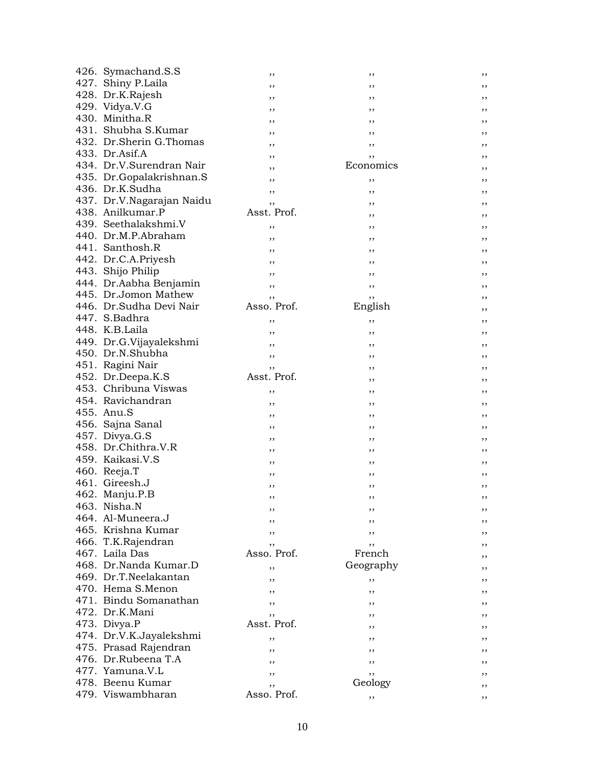| 426. Symachand.S.S                          | ,,                | ,,            | ,, |
|---------------------------------------------|-------------------|---------------|----|
| 427. Shiny P.Laila                          | ,,                | ,,            | ,, |
| 428. Dr.K.Rajesh                            | ,,                | ,,            | ,, |
| 429. Vidya.V.G                              | ,,                | ,,            | ,, |
| 430. Minitha.R                              | ,,                | ,,            | ,, |
| 431. Shubha S.Kumar                         | ,,                | ,,            | ,, |
| 432. Dr. Sherin G. Thomas                   | ,,                | ,,            | ,, |
| 433. Dr.Asif.A                              | ,,                | ,,            | ,, |
| 434. Dr.V.Surendran Nair                    | ,,                | Economics     | ,, |
| 435. Dr.Gopalakrishnan.S                    | ,,                | ,,            | ,, |
| 436. Dr.K.Sudha                             | ,,                |               |    |
| 437. Dr.V.Nagarajan Naidu                   | ,,                | ,,            | ,, |
| 438. Anilkumar.P                            | Asst. Prof.       | ,,            | ,, |
| 439. Seethalakshmi.V                        |                   | ,,            | ,, |
| 440. Dr.M.P.Abraham                         | ,,                | ,,            | ,, |
| 441. Santhosh.R                             | ,,                | ,,            | ,, |
| 442. Dr.C.A.Priyesh                         | ,,                | ,,            | ,, |
| 443. Shijo Philip                           | ,,                | ,,            | ,, |
| 444. Dr.Aabha Benjamin                      | ,,                | ,,            | ,, |
| 445. Dr.Jomon Mathew                        | ,,                | ,,            | ,, |
| 446. Dr.Sudha Devi Nair                     | ,,<br>Asso. Prof. | ,,<br>English | ,, |
| 447. S.Badhra                               |                   |               | ,, |
| 448. K.B.Laila                              | ,,                | ,,            | ,, |
|                                             | ,,                | ,,            | ,, |
| 449. Dr.G.Vijayalekshmi<br>450. Dr.N.Shubha | ,,                | ,,            | ,, |
|                                             | ,,                | ,,            | ,, |
| 451. Ragini Nair                            | ,,                | ,,            | ,, |
| 452. Dr.Deepa.K.S                           | Asst. Prof.       | ,,            | ,, |
| 453. Chribuna Viswas                        | ,,                | ,,            | ,, |
| 454. Ravichandran                           | ,,                | ,,            | ,, |
| 455. Anu.S                                  | ,,                | ,,            | ,, |
| 456. Sajna Sanal                            | ,,                | ,,            | ,, |
| 457. Divya.G.S                              | ,,                | ,,            | ,, |
| 458. Dr.Chithra.V.R                         | ,,                | ,,            | ,, |
| 459. Kaikasi.V.S                            | ,,                | ,,            | ,, |
| 460. Reeja.T                                | ,,                | ,,            | ,, |
| 461. Gireesh.J                              | ,,                | ,,            | ,, |
| 462. Manju.P.B                              | ,,                | ,,            | ,, |
| 463. Nisha.N                                | ,,                | ,,            | ,, |
| 464. Al-Muneera.J                           | ,,                | ,,            | ,, |
| 465. Krishna Kumar                          | ,,                | ,,            | ,, |
| 466. T.K.Rajendran                          | ,,                | ,,            | ,, |
| 467. Laila Das                              | Asso. Prof.       | French        | ,, |
| 468. Dr.Nanda Kumar.D                       | ,,                | Geography     | ,, |
| 469. Dr.T.Neelakantan                       | ,,                | ,,            | ,, |
| 470. Hema S.Menon                           | ,,                | ,,            |    |
| 471. Bindu Somanathan                       | ,,                | ,,            |    |
| 472. Dr.K.Mani                              | ,,                | ,,            | ,, |
| 473. Divya.P                                | Asst. Prof.       | ,,            | ,, |
| 474. Dr.V.K.Jayalekshmi                     | ,,                | ,,            | ,, |
| 475. Prasad Rajendran                       | ,,                | ,,            | ,, |
| 476. Dr.Rubeena T.A                         | ,,                | ,,            | ,, |
| 477. Yamuna.V.L                             | ,,                | ,,            | ,, |
| 478. Beenu Kumar                            | ,,                | Geology       | ,, |
| 479. Viswambharan                           | Asso. Prof.       |               | ,, |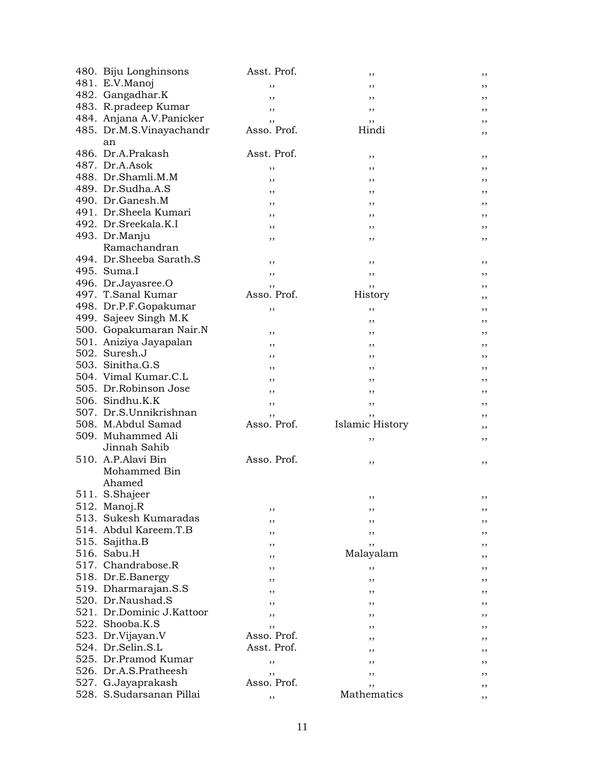| 480. Biju Longhinsons     | Asst. Prof.       | ,,                | ,, |
|---------------------------|-------------------|-------------------|----|
| 481. E.V.Manoj            | ,,                | ,,                | ,, |
| 482. Gangadhar.K          | ,,                | ,,                | ,, |
| 483. R.pradeep Kumar      | ,,                | ,,                | ,, |
| 484. Anjana A.V.Panicker  | ,,                | ,,                | ,, |
| 485. Dr.M.S.Vinayachandr  | Asso. Prof.       | Hindi             | ,, |
| an                        |                   |                   |    |
| 486. Dr.A.Prakash         | Asst. Prof.       | ,,                | ,, |
| 487. Dr.A.Asok            | ,,                | ,,                | ,, |
| 488. Dr.Shamli.M.M        | ,,                | ,,                | ,, |
| 489. Dr.Sudha.A.S         | ,,                |                   |    |
| 490. Dr.Ganesh.M          |                   | ,,                | ,, |
| 491. Dr.Sheela Kumari     | ,,                | ,,                | ,, |
| 492. Dr.Sreekala.K.I      | ,,                | ,,                | ,, |
| 493. Dr.Manju             | ,,                | ,,                | ,, |
| Ramachandran              | ,,                | ,,                | ,, |
| 494. Dr.Sheeba Sarath.S   |                   |                   |    |
| 495. Suma.I               | ,,                | ,,                | ,, |
| 496. Dr.Jayasree.O        | ,,                | $, \,$            | ,, |
| 497. T.Sanal Kumar        | ,,<br>Asso. Prof. | ,,<br>History     | ,, |
|                           |                   |                   | ,, |
| 498. Dr.P.F.Gopakumar     | ,,                | ,,                | ,, |
| 499. Sajeev Singh M.K     |                   | ,,                | ,, |
| 500. Gopakumaran Nair.N   | ,,                | ,,                | ,, |
| 501. Aniziya Jayapalan    | ,,                | ,,                | ,, |
| 502. Suresh.J             | ,,                | ,,                | ,, |
| 503. Sinitha.G.S          | ,,                | ,,                | ,, |
| 504. Vimal Kumar.C.L      | ,,                | ,,                | ,, |
| 505. Dr.Robinson Jose     | ,,                | ,,                | ,, |
| 506. Sindhu.K.K           | ,,                | ,,                | ,, |
| 507. Dr.S.Unnikrishnan    | ,,                | ,,                | ,, |
| 508. M.Abdul Samad        | Asso. Prof.       | Islamic History   | ,, |
| 509. Muhammed Ali         |                   | ,,                | ,, |
| Jinnah Sahib              |                   |                   |    |
| 510. A.P.Alavi Bin        | Asso. Prof.       | ,,                | ,, |
| Mohammed Bin              |                   |                   |    |
| Ahamed                    |                   |                   |    |
| 511. S.Shajeer            |                   | ,,                | ,, |
| 512. Manoj.R              | ,,                | ,,                | ,, |
| 513. Sukesh Kumaradas     | ,,                | ,,                | ,, |
| 514. Abdul Kareem.T.B     | ,,                | ,,                | ,, |
| 515. Sajitha.B            | ,,                | ,,                | ,, |
| 516. Sabu.H               | ,,                | Malayalam         | ,, |
| 517. Chandrabose.R        | ,,                | ,,                | ,, |
| 518. Dr.E.Banergy         | ,,                | ,,                | ,, |
| 519. Dharmarajan.S.S      | ,,                | ,,                | ,, |
| 520. Dr.Naushad.S         | ,,                | ,,                | ,, |
| 521. Dr.Dominic J.Kattoor | ,,                | ,,                | ,, |
| 522. Shooba.K.S           | ,,                | ,,                | ,, |
| 523. Dr.Vijayan.V         | Asso. Prof.       | ,,                | ,, |
| 524. Dr.Selin.S.L         | Asst. Prof.       | ,,                | ,, |
| 525. Dr.Pramod Kumar      | ,,                | ,,                |    |
| 526. Dr.A.S.Pratheesh     |                   |                   | ,, |
| 527. G.Jayaprakash        | ,,<br>Asso. Prof. | ,,                | ,, |
| 528. S.Sudarsanan Pillai  |                   | ,,<br>Mathematics | ,, |
|                           | ,,                |                   | ,, |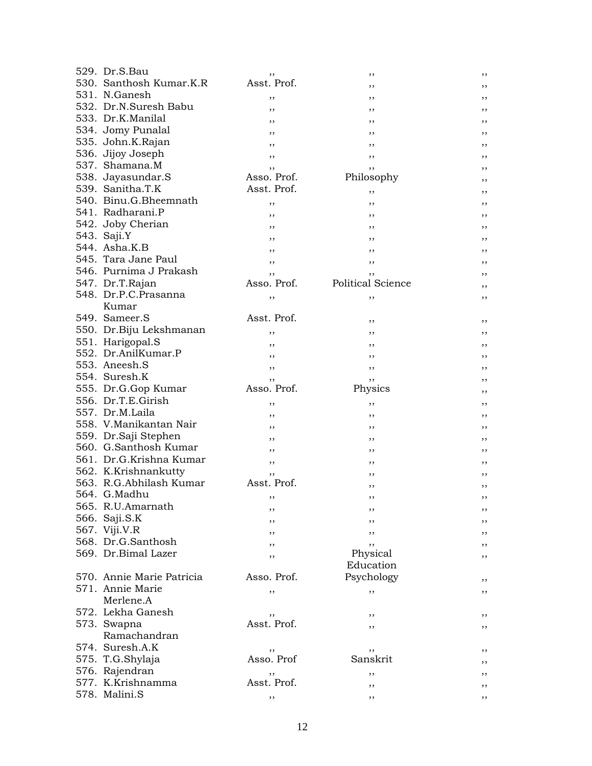| 529. Dr.S.Bau             | ,,          | ,,                | ,,     |
|---------------------------|-------------|-------------------|--------|
| 530. Santhosh Kumar.K.R   | Asst. Prof. | ,,                | ,,     |
| 531. N.Ganesh             | ,,          | ,,                | ,,     |
| 532. Dr.N.Suresh Babu     |             |                   |        |
| 533. Dr.K.Manilal         | ,,          | ,,                | ,,     |
| 534. Jomy Punalal         | ,,          | ,,                | ,,     |
| 535. John.K.Rajan         | ,,          | ,,                | ,,     |
|                           | ,,          | ,,                | ,,     |
| 536. Jijoy Joseph         | ,,          | ,,                | ,,     |
| 537. Shamana.M            | ,,          | ,,                | ,,     |
| 538. Jayasundar.S         | Asso. Prof. | Philosophy        | ,,     |
| 539. Sanitha.T.K          | Asst. Prof. | $, \,$            | ,,     |
| 540. Binu.G.Bheemnath     | ,,          | ,,                | ,,     |
| 541. Radharani.P          | ,,          | ,,                | ,,     |
| 542. Joby Cherian         | ,,          | ,,                | ,,     |
| 543. Saji.Y               | ,,          | ,,                | ,,     |
| 544. Asha.K.B             | ,,          | ,,                | ,,     |
| 545. Tara Jane Paul       | ,,          | ,,                | ,,     |
| 546. Purnima J Prakash    | ,,          | ,,                | ,,     |
| 547. Dr.T.Rajan           | Asso. Prof. | Political Science | ,,     |
| 548. Dr.P.C.Prasanna      |             |                   |        |
| Kumar                     | ,,          | ,,                | ,,     |
| 549. Sameer.S             | Asst. Prof. |                   |        |
| 550. Dr.Biju Lekshmanan   |             | ,,                | ,,     |
|                           | ,,          | ,,                | ,,     |
| 551. Harigopal.S          | ,,          | ,,                |        |
| 552. Dr.AnilKumar.P       | ,,          | ,,                | ,,     |
| 553. Aneesh.S             | ,,          | , ,               | ,,     |
| 554. Suresh.K             | ,,          | ,,                | ,,     |
| 555. Dr.G.Gop Kumar       | Asso. Prof. | Physics           | ,,     |
| 556. Dr.T.E.Girish        | ,,          | ,,                | ,,     |
| 557. Dr.M.Laila           | ,,          | ,,                | ,,     |
| 558. V.Manikantan Nair    | ,,          | ,,                | ,,     |
| 559. Dr. Saji Stephen     | ,,          | ,,                | ,,     |
| 560. G.Santhosh Kumar     | ,,          | ,,                | ,,     |
| 561. Dr.G.Krishna Kumar   | ,,          | ,,                | ,,     |
| 562. K.Krishnankutty      | ,,          | ,,                | ,,     |
| 563. R.G.Abhilash Kumar   | Asst. Prof. | ,,                | ,,     |
| 564. G.Madhu              | ,,          | ,,                | ,,     |
| 565. R.U.Amarnath         | ,,          | ,,                | ,,     |
| 566. Saji.S.K             | ,,          | ,,                | ,,     |
| 567. Viji.V.R             | ,,          | ,,                | ,,     |
| 568. Dr.G.Santhosh        | ,,          | ,,                | ,,     |
| 569. Dr.Bimal Lazer       |             | Physical          |        |
|                           | ,,          | Education         | $, \,$ |
| 570. Annie Marie Patricia | Asso. Prof. | Psychology        |        |
| 571. Annie Marie          |             |                   | ,,     |
| Merlene.A                 | ,,          | ,,                | ,,     |
| 572. Lekha Ganesh         |             |                   |        |
|                           | ,,          | ,,                | ,,     |
| 573. Swapna               | Asst. Prof. | ,,                | ,,     |
| Ramachandran              |             |                   |        |
| 574. Suresh.A.K           | ,,          | , ,               | ,,     |
| 575. T.G.Shylaja          | Asso. Prof  | Sanskrit          | ,,     |
| 576. Rajendran            | ,,          | ,,                | ,,     |
| 577. K.Krishnamma         | Asst. Prof. | ,,                | ,,     |
| 578. Malini.S             | ,,          | ,,                | ,,     |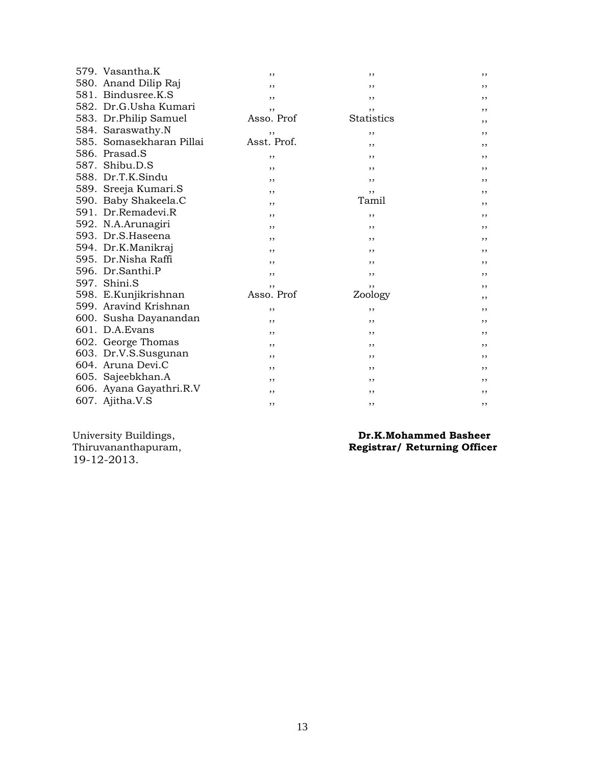| 579. Vasantha.K          | , ,         | ,,         | ,,     |
|--------------------------|-------------|------------|--------|
| 580. Anand Dilip Raj     | ,,          | ,,         | ,,     |
| 581. Bindusree.K.S       | ,,          | ,,         | ,,     |
| 582. Dr.G.Usha Kumari    | , ,         | ,,         | ,,     |
| 583. Dr. Philip Samuel   | Asso. Prof  | Statistics | ,,     |
| 584. Saraswathy.N        | ,,          | ,,         | ,,     |
| 585. Somasekharan Pillai | Asst. Prof. | , ,        | , ,    |
| 586. Prasad.S            | ,,          | ,,         | ,,     |
| 587. Shibu.D.S           | ,,          | ,,         | ,,     |
| 588. Dr.T.K.Sindu        | ,,          | ,,         | ,,     |
| 589. Sreeja Kumari.S     | , ,         | ,,         | ,,     |
| 590. Baby Shakeela.C     | ,,          | Tamil      | $, \,$ |
| 591. Dr.Remadevi.R       | ,,          | ,,         | ,,     |
| 592. N.A.Arunagiri       | , ,         | ,,         | ,,     |
| 593. Dr.S.Haseena        | , ,         | ,,         | ,,     |
| 594. Dr.K.Manikraj       | ,,          | ,,         | ,,     |
| 595. Dr. Nisha Raffi     | ,,          | ,,         | ,,     |
| 596. Dr.Santhi.P         | ,,          | , ,        | ,,     |
| 597. Shini.S             | ,,          | ,,         | , ,    |
| 598. E.Kunjikrishnan     | Asso. Prof  | Zoology    | ,,     |
| 599. Aravind Krishnan    | ,,          | ,,         | ,,     |
| 600. Susha Dayanandan    | ,,          | , ,        | ,,     |
| 601. D.A. Evans          | ,,          | ,,         | ,,     |
| 602. George Thomas       | ,,          | ,,         | $, \,$ |
| 603. Dr.V.S.Susgunan     | ,,          | ,,         | ,,     |
| 604. Aruna Devi.C        | ,,          | ,,         | ,,     |
| 605. Sajeebkhan.A        | , ,         | , ,        | ,,     |
| 606. Ayana Gayathri.R.V  | ,,          | ,,         | ,,     |
| 607. Ajitha.V.S          | ,,          | ,,         | ,,     |

University Buildings,<br>Thiruvananthapuram,<br>19-12-2013.

**Dr.K.Mohammed Basheer** Registrar/ Returning Officer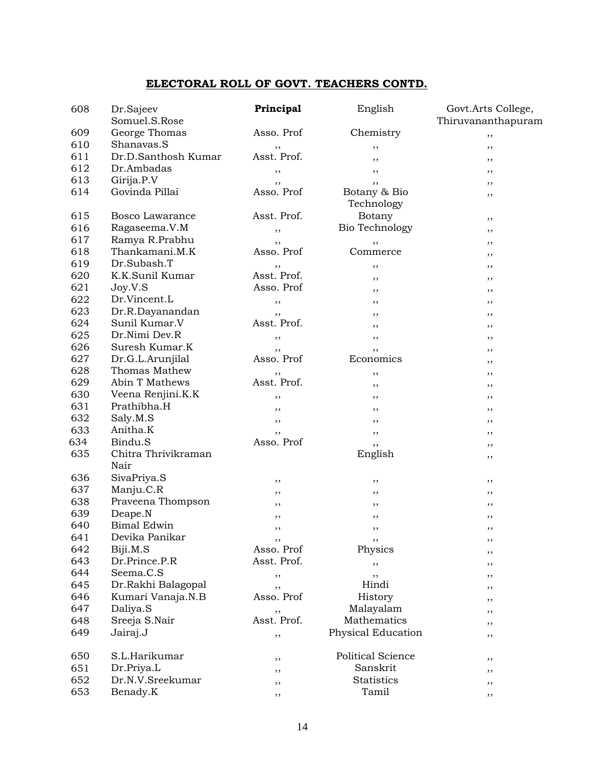# **ELECTORAL ROLL OF GOVT. TEACHERS CONTD.**

| 608 | Dr.Sajeev<br>Somuel.S.Rose | Principal         | English                    | Govt.Arts College,<br>Thiruvananthapuram |
|-----|----------------------------|-------------------|----------------------------|------------------------------------------|
| 609 | George Thomas              | Asso. Prof        | Chemistry                  | ,,                                       |
| 610 | Shanavas.S                 | ,,                | ,,                         | ,,                                       |
| 611 | Dr.D.Santhosh Kumar        | Asst. Prof.       | ,,                         | ,,                                       |
| 612 | Dr.Ambadas                 | ,,                | ,,                         | ,,                                       |
| 613 | Girija.P.V                 | ,,                | ,,                         | ,,                                       |
| 614 | Govinda Pillai             | Asso. Prof        | Botany & Bio<br>Technology | ,,                                       |
| 615 | <b>Bosco Lawarance</b>     | Asst. Prof.       | Botany                     | ,,                                       |
| 616 | Ragaseema.V.M              | ,,                | Bio Technology             | ,,                                       |
| 617 | Ramya R.Prabhu             | ,,                | ,,                         | ,,                                       |
| 618 | Thankamani.M.K             | Asso. Prof        | Commerce                   | ,,                                       |
| 619 | Dr.Subash.T                | ,,                | ,,                         | ,,                                       |
| 620 | K.K.Sunil Kumar            | Asst. Prof.       | ,,                         | ,,                                       |
| 621 | Joy.V.S                    | Asso. Prof        | ,,                         | ,,                                       |
| 622 | Dr.Vincent.L               | ,,                | ,,                         | ,,                                       |
| 623 | Dr.R.Dayanandan            | ,,                | ,,                         |                                          |
| 624 | Sunil Kumar.V              | Asst. Prof.       | ,,                         | ,,<br>,,                                 |
| 625 | Dr.Nimi Dev.R              |                   |                            |                                          |
| 626 | Suresh Kumar.K             | , ,               | ,,                         | ,,                                       |
| 627 | Dr.G.L.Arunjilal           | ,,<br>Asso. Prof  | ,,<br>Economics            | ,,                                       |
| 628 | Thomas Mathew              |                   |                            | ,,                                       |
| 629 | Abin T Mathews             | ,,<br>Asst. Prof. | ,,                         | ,,                                       |
| 630 | Veena Renjini.K.K          |                   | ,,                         | ,,                                       |
| 631 | Prathibha.H                | ,,                | ,,                         | ,,                                       |
| 632 | Saly.M.S                   | ,,                | ,,                         | ,,                                       |
| 633 | Anitha.K                   | ,,                | ,,                         | ,,                                       |
| 634 | Bindu.S                    | ,,<br>Asso. Prof  | ,,                         | ,,                                       |
| 635 | Chitra Thrivikraman        |                   | ,,<br>English              | ,,                                       |
|     | Nair                       |                   |                            | ,,                                       |
| 636 | SivaPriya.S                | ,,                | ,,                         | ,,                                       |
| 637 | Manju.C.R                  | ,,                | ,,                         | ,,                                       |
| 638 | Praveena Thompson          | ,,                | ,,                         | ,,                                       |
| 639 | Deape.N                    | ,,                | ,,                         | ,,                                       |
| 640 | <b>Bimal Edwin</b>         | ,,                | ,,                         | ,,                                       |
| 641 | Devika Panikar             | , ,               | ,,                         | ,,                                       |
| 642 | Biji.M.S                   | Asso. Prof        | Physics                    | ,,                                       |
| 643 | Dr.Prince.P.R              | Asst. Prof.       | ,,                         | ,,                                       |
| 644 | Seema.C.S                  | ,,                | ,,                         | ,,                                       |
| 645 | Dr.Rakhi Balagopal         | ,,                | Hindi                      | ,,                                       |
| 646 | Kumari Vanaja.N.B          | Asso. Prof        | History                    | ,,                                       |
| 647 | Daliya.S                   | , ,               | Malayalam                  | ,,                                       |
| 648 | Sreeja S.Nair              | Asst. Prof.       | Mathematics                | ,,                                       |
| 649 | Jairaj.J                   | ,,                | Physical Education         | ,,                                       |
| 650 | S.L.Harikumar              | ,,                | Political Science          | ,,                                       |
| 651 | Dr.Priya.L                 | ,,                | Sanskrit                   | ,,                                       |
| 652 | Dr.N.V.Sreekumar           | ,,                | Statistics                 | ,,                                       |
| 653 | Benady.K                   | $, \,$            | Tamil                      | ,,                                       |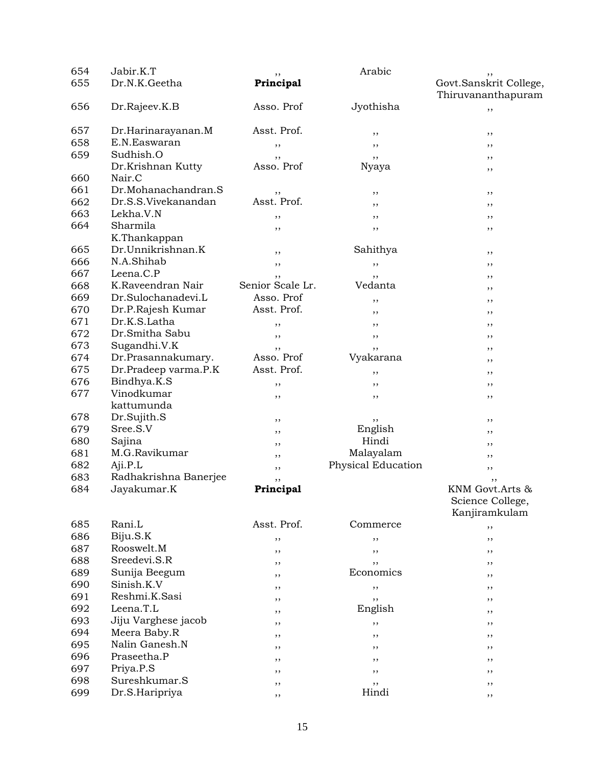| 654 | Jabir.K.T             | ,,               | Arabic             |                        |
|-----|-----------------------|------------------|--------------------|------------------------|
| 655 | Dr.N.K.Geetha         | Principal        |                    | Govt.Sanskrit College, |
|     |                       |                  |                    | Thiruvananthapuram     |
| 656 | Dr.Rajeev.K.B         | Asso. Prof       | Jyothisha          | ,,                     |
|     |                       |                  |                    |                        |
| 657 | Dr.Harinarayanan.M    | Asst. Prof.      | ,,                 | ,,                     |
| 658 | E.N.Easwaran          | ,,               | ,,                 | , ,                    |
| 659 | Sudhish.O             | ,,               | ,,                 | ,,                     |
|     | Dr.Krishnan Kutty     | Asso. Prof       | Nyaya              | ,,                     |
| 660 | Nair.C                |                  |                    |                        |
| 661 | Dr.Mohanachandran.S   | ,,               | ,,                 | ,,                     |
| 662 | Dr.S.S.Vivekanandan   | Asst. Prof.      | ,,                 | ,,                     |
| 663 | Lekha.V.N             | ,,               | ,,                 | ,,                     |
| 664 | Sharmila              | ,,               | ,,                 | ,,                     |
|     | K.Thankappan          |                  |                    |                        |
| 665 | Dr.Unnikrishnan.K     | ,,               | Sahithya           | ,,                     |
| 666 | N.A.Shihab            | ,,               | ,,                 | ,,                     |
| 667 | Leena.C.P             | ,,               | ,,                 | ,,                     |
| 668 | K.Raveendran Nair     | Senior Scale Lr. | Vedanta            | ,,                     |
| 669 | Dr.Sulochanadevi.L    | Asso. Prof       | ,,                 |                        |
| 670 | Dr.P.Rajesh Kumar     | Asst. Prof.      |                    | ,,                     |
| 671 | Dr.K.S.Latha          |                  | ,,                 | ,,                     |
| 672 | Dr.Smitha Sabu        | ,,               | ,,                 | , ,                    |
| 673 | Sugandhi.V.K          | ,,               | ,,                 | ,,                     |
| 674 | Dr.Prasannakumary.    | ,,<br>Asso. Prof | ,,<br>Vyakarana    | ,,                     |
| 675 | Dr.Pradeep varma.P.K  | Asst. Prof.      |                    | , ,                    |
| 676 | Bindhya.K.S           |                  | ,,                 | ,,                     |
| 677 | Vinodkumar            | ,,               | ,,                 | ,,                     |
|     | kattumunda            | ,,               | ,,                 | ,,                     |
|     |                       |                  |                    |                        |
| 678 | Dr.Sujith.S           | ,,               | , ,                | ,,                     |
| 679 | Sree.S.V              | ,,               | English            | ,,                     |
| 680 | Sajina                | ,,               | Hindi              | ,,                     |
| 681 | M.G.Ravikumar         | ,,               | Malayalam          | ,,                     |
| 682 | Aji.P.L               | ,,               | Physical Education | ,,                     |
| 683 | Radhakrishna Banerjee | ,,               |                    | ,,                     |
| 684 | Jayakumar.K           | Principal        |                    | KNM Govt.Arts &        |
|     |                       |                  |                    | Science College,       |
|     |                       |                  |                    | Kanjiramkulam          |
| 685 | Rani.L                | Asst. Prof.      | Commerce           | ,,                     |
| 686 | Biju.S.K              | ,,               | ,,                 | ,,                     |
| 687 | Rooswelt.M            | ,,               | ,,                 | ,,                     |
| 688 | Sreedevi.S.R          | ,,               | ,,                 | ,,                     |
| 689 | Sunija Beegum         | ,,               | Economics          | ,,                     |
| 690 | Sinish.K.V            | ,,               | , ,                | ,,                     |
| 691 | Reshmi.K.Sasi         | ,,               | ,,                 | ,,                     |
| 692 | Leena.T.L             | ,,               | English            | ,,                     |
| 693 | Jiju Varghese jacob   | ,,               | , ,                | ,,                     |
| 694 | Meera Baby.R          | ,,               | $, \,$             | ,,                     |
| 695 | Nalin Ganesh.N        | ,,               | ,,                 | ,,                     |
| 696 | Praseetha.P           | ,,               | ,,                 | ,,                     |
| 697 | Priya.P.S             | ,,               | ,,                 | ,,                     |
| 698 | Sureshkumar.S         | ,,               | ,,                 | ,,                     |
| 699 | Dr.S.Haripriya        | ,,               | Hindi              | ,,                     |
|     |                       |                  |                    |                        |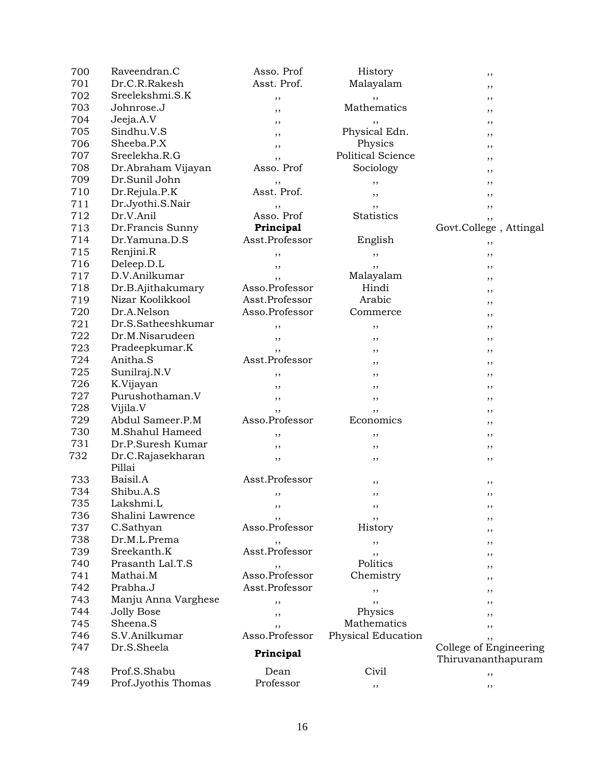| 700 | Raveendran.C        | Asso. Prof           | History                  | ,,                                           |
|-----|---------------------|----------------------|--------------------------|----------------------------------------------|
| 701 | Dr.C.R.Rakesh       | Asst. Prof.          | Malayalam                | ,,                                           |
| 702 | Sreelekshmi.S.K     | ,,                   | ,,                       | ,,                                           |
| 703 | Johnrose.J          | ,,                   | Mathematics              | ,,                                           |
| 704 | Jeeja.A.V           | ,,                   | ,,                       | ,,                                           |
| 705 | Sindhu.V.S          | ,,                   | Physical Edn.            | ,,                                           |
| 706 | Sheeba.P.X          | ,,                   | Physics                  | ,,                                           |
| 707 | Sreelekha.R.G       | ,,                   | <b>Political Science</b> | ,,                                           |
| 708 | Dr.Abraham Vijayan  | Asso. Prof           | Sociology                | ,,                                           |
| 709 | Dr.Sunil John       | ,,                   | ,,                       | ,,                                           |
| 710 | Dr.Rejula.P.K       | Asst. Prof.          | ,,                       | ,,                                           |
| 711 | Dr.Jyothi.S.Nair    | ,,                   | ,,                       | ,,                                           |
| 712 | Dr.V.Anil           | Asso. Prof           | <b>Statistics</b>        |                                              |
| 713 | Dr.Francis Sunny    | Principal            |                          | Govt.College, Attingal                       |
| 714 | Dr.Yamuna.D.S       | Asst.Professor       | English                  |                                              |
| 715 | Renjini.R           |                      |                          | ,,                                           |
| 716 | Deleep.D.L          | ,,                   | ,,                       | ,,                                           |
| 717 | D.V.Anilkumar       | ,,                   | ,,<br>Malayalam          | ,,                                           |
| 718 | Dr.B.Ajithakumary   | ,,<br>Asso.Professor | Hindi                    | ,,                                           |
| 719 | Nizar Koolikkool    | Asst.Professor       | Arabic                   | ,,                                           |
| 720 | Dr.A.Nelson         | Asso.Professor       | Commerce                 | ,,                                           |
| 721 | Dr.S.Satheeshkumar  |                      |                          | ,,                                           |
| 722 | Dr.M.Nisarudeen     | ,,                   | ,,                       | ,,                                           |
| 723 | Pradeepkumar.K      | ,,                   | ,,                       | ,,                                           |
| 724 | Anitha.S            | ,,<br>Asst.Professor | ,,                       | ,,                                           |
| 725 | Sunilraj.N.V        |                      | ,,                       | ,,                                           |
| 726 |                     | ,,                   | ,,                       | ,,                                           |
|     | K.Vijayan           | ,,                   | ,,                       | ,,                                           |
| 727 | Purushothaman.V     | ,,                   | ,,                       | ,,                                           |
| 728 | Vijila.V            | ,,<br>Asso.Professor | ,,                       | ,,                                           |
| 729 | Abdul Sameer.P.M    |                      | Economics                | ,,                                           |
| 730 | M.Shahul Hameed     | ,,                   | ,,                       | ,,                                           |
| 731 | Dr.P.Suresh Kumar   | ,,                   | ,,                       | ,,                                           |
| 732 | Dr.C.Rajasekharan   | ,,                   | , ,                      | ,,                                           |
|     | Pillai              |                      |                          |                                              |
| 733 | Baisil.A            | Asst.Professor       | ,,                       | ,,                                           |
| 734 | Shibu.A.S           | ,,                   | ,,                       | ,,                                           |
| 735 | Lakshmi.L           | ,,                   | ,,                       | ,,                                           |
| 736 | Shalini Lawrence    | ,,                   | ,,                       | ,,                                           |
| 737 | C.Sathyan           | Asso.Professor       | History                  | ,,                                           |
| 738 | Dr.M.L.Prema        | ,,                   | ,,                       | ,,                                           |
| 739 | Sreekanth.K         | Asst.Professor       | ,,                       | ,,                                           |
| 740 | Prasanth Lal.T.S    |                      | Politics                 | ,,                                           |
| 741 | Mathai.M            | Asso.Professor       | Chemistry                | ,,                                           |
| 742 | Prabha.J            | Asst.Professor       | ,,                       | ,,                                           |
| 743 | Manju Anna Varghese | ,,                   | ,,                       | ,,                                           |
| 744 | <b>Jolly Bose</b>   | ,,                   | Physics                  | ,,                                           |
| 745 | Sheena.S            | ,,                   | Mathematics              | ,,                                           |
| 746 | S.V.Anilkumar       | Asso.Professor       | Physical Education       | , ,                                          |
| 747 | Dr.S.Sheela         | Principal            |                          | College of Engineering<br>Thiruvananthapuram |
| 748 | Prof.S.Shabu        | Dean                 | Civil                    | ,,                                           |
| 749 | Prof.Jyothis Thomas | Professor            | ,,                       | ,,                                           |
|     |                     |                      |                          |                                              |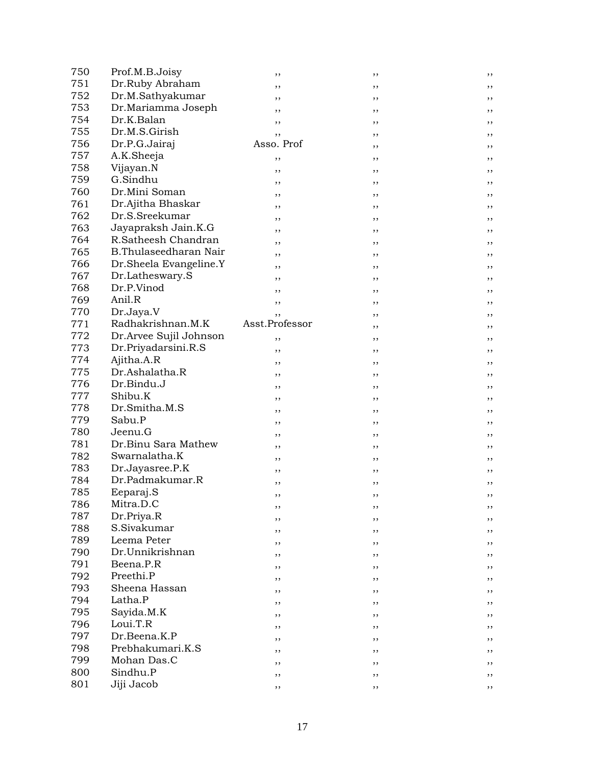| 750 | Prof.M.B.Joisy         | ,,                   | ,,  | ,, |
|-----|------------------------|----------------------|-----|----|
| 751 | Dr.Ruby Abraham        | ,,                   | ,,  | ,, |
| 752 | Dr.M.Sathyakumar       | ,,                   | ,,  | ,, |
| 753 | Dr.Mariamma Joseph     | ,,                   | ,,  | ,, |
| 754 | Dr.K.Balan             | ,,                   | ,,  | ,, |
| 755 | Dr.M.S.Girish          | ,,                   | ,,  | ,, |
| 756 | Dr.P.G.Jairaj          | Asso. Prof           | ,,  | ,, |
| 757 | A.K.Sheeja             | ,,                   | , , | ,, |
| 758 | Vijayan.N              | ,,                   | ,,  | ,, |
| 759 | G.Sindhu               | ,,                   | ,,  | ,, |
| 760 | Dr.Mini Soman          | ,,                   | ,,  | ,, |
| 761 | Dr.Ajitha Bhaskar      | ,,                   | ,,  | ,, |
| 762 | Dr.S.Sreekumar         |                      | ,,  | ,, |
| 763 | Jayapraksh Jain.K.G    | ,,                   |     |    |
| 764 | R.Satheesh Chandran    | ,,                   | ,,  | ,, |
| 765 | B.Thulaseedharan Nair  | ,,                   | ,,  | ,, |
| 766 | Dr.Sheela Evangeline.Y | ,,                   | ,,  | ,, |
| 767 | Dr.Latheswary.S        | ,,                   | ,,  | ,, |
| 768 | Dr.P.Vinod             | ,,                   | ,,  | ,, |
| 769 | Anil.R                 | ,,                   | ,,  | ,, |
| 770 | Dr.Jaya.V              | ,,                   | ,,  | ,, |
| 771 | Radhakrishnan.M.K      | ,,<br>Asst.Professor | ,,  | ,, |
| 772 | Dr.Arvee Sujil Johnson |                      | ,,  | ,, |
| 773 | Dr.Priyadarsini.R.S    | ,,                   | ,,  | ,, |
| 774 | Ajitha.A.R             | ,,                   | ,,  | ,, |
| 775 | Dr.Ashalatha.R         | ,,                   | ,,  | ,, |
| 776 | Dr.Bindu.J             | ,,                   | ,,  | ,, |
|     | Shibu.K                | ,,                   | ,,  | ,, |
| 777 |                        | ,,                   | ,,  | ,, |
| 778 | Dr.Smitha.M.S          | ,,                   | ,,  | ,, |
| 779 | Sabu.P                 | ,,                   | ,,  | ,, |
| 780 | Jeenu.G                | ,,                   | ,,  | ,, |
| 781 | Dr.Binu Sara Mathew    | ,,                   | ,,  | ,, |
| 782 | Swarnalatha.K          | ,,                   | ,,  | ,, |
| 783 | Dr.Jayasree.P.K        | ,,                   | ,,  | ,, |
| 784 | Dr.Padmakumar.R        | ,,                   | ,,  | ,, |
| 785 | Eeparaj.S              | ,,                   | , , | ,, |
| 786 | Mitra.D.C              | ,,                   | ,,  | ,, |
| 787 | Dr.Priya.R             | ,,                   | ,,  | ,, |
| 788 | S.Sivakumar            | ,,                   | ,,  | ,, |
| 789 | Leema Peter            | ,,                   | ,,  | ,, |
| 790 | Dr.Unnikrishnan        | ,,                   | ,,  | ,, |
| 791 | Beena.P.R              | ,,                   | ,,  | ,, |
| 792 | Preethi.P              | ,,                   | ,,  | ,, |
| 793 | Sheena Hassan          | ,,                   | ,,  | ,, |
| 794 | Latha.P                | ,,                   | ,,  | ,, |
| 795 | Sayida.M.K             | ,,                   | ,,  | ,, |
| 796 | Loui.T.R               | ,,                   | ,,  | ,, |
| 797 | Dr.Beena.K.P           | ,,                   | ,,  | ,, |
| 798 | Prebhakumari.K.S       | ,,                   | ,,  | ,, |
| 799 | Mohan Das.C            | ,,                   | ,,  | ,, |
| 800 | Sindhu.P               | ,,                   | ,,  | ,, |
| 801 | Jiji Jacob             | ,,                   | ,,  | ,, |
|     |                        |                      |     |    |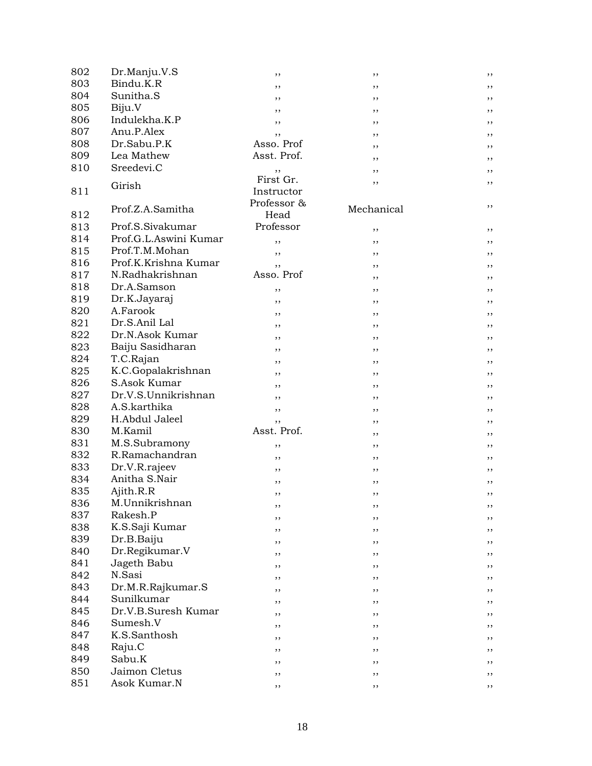| 802 | Dr.Manju.V.S          | ,,                | ,,         | , ,      |
|-----|-----------------------|-------------------|------------|----------|
| 803 | Bindu.K.R             | ,,                | ,,         | ,,       |
| 804 | Sunitha.S             | ,,                | ,,         | ,,       |
| 805 | Biju.V                | ,,                | ,,         | ,,       |
| 806 | Indulekha.K.P         | ,,                | ,,         | ,,       |
| 807 | Anu.P.Alex            | ,,                | ,,         | ,,       |
| 808 | Dr.Sabu.P.K           | Asso. Prof        | ,,         | ,,       |
| 809 | Lea Mathew            | Asst. Prof.       | ,,         | ,,       |
| 810 | Sreedevi.C            | ,,                | ,,         | ,,       |
|     |                       | First Gr.         | ,,         | ,,       |
| 811 | Girish                | Instructor        |            |          |
|     |                       | Professor &       |            | ,,       |
| 812 | Prof.Z.A.Samitha      | Head              | Mechanical |          |
| 813 | Prof.S.Sivakumar      | Professor         | ,,         | ,,       |
| 814 | Prof.G.L.Aswini Kumar | ,,                | ,,         | ,,       |
| 815 | Prof.T.M.Mohan        | ,,                | ,,         | ,,       |
| 816 | Prof.K.Krishna Kumar  | ,,                | ,,         | ,,       |
| 817 | N.Radhakrishnan       | Asso. Prof        | ,,         | ,,       |
| 818 | Dr.A.Samson           | ,,                | ,,         | ,,       |
| 819 | Dr.K.Jayaraj          | ,,                | ,,         | ,,       |
| 820 | A.Farook              | ,,                | ,,         | ,,       |
| 821 | Dr.S.Anil Lal         |                   | ,,         |          |
| 822 | Dr.N.Asok Kumar       | ,,<br>$, \,$      | ,,         | ,,<br>,, |
| 823 | Baiju Sasidharan      |                   |            |          |
| 824 | T.C.Rajan             | ,,                | ,,         | ,,       |
| 825 | K.C.Gopalakrishnan    | ,,                | ,,         | ,,       |
| 826 | S.Asok Kumar          | ,,                | ,,         | ,,       |
| 827 | Dr.V.S.Unnikrishnan   | ,,                | ,,         | ,,       |
| 828 | A.S.karthika          | ,,                | ,,         | ,,       |
| 829 | H.Abdul Jaleel        | ,,                | ,,         | ,,       |
| 830 | M.Kamil               | ,,<br>Asst. Prof. | ,,         | ,,       |
| 831 | M.S.Subramony         |                   | ,,         | ,,       |
| 832 | R.Ramachandran        | ,,                | ,,         | ,,       |
| 833 | Dr.V.R.rajeev         | ,,                | ,,         | ,,       |
| 834 | Anitha S.Nair         | ,,                | ,,         | ,,       |
| 835 | Ajith.R.R             | ,,                | ,,         | ,,       |
| 836 | M.Unnikrishnan        | ,,                | ,,         | ,,       |
| 837 | Rakesh.P              | ,,                | ,,         | ,,       |
| 838 | K.S.Saji Kumar        | ,,                | ,,         | ,,       |
| 839 | Dr.B.Baiju            | ,,                | ,,         | ,,       |
| 840 | Dr.Regikumar.V        | ,,                | ,,         | ,,       |
| 841 | Jageth Babu           | ,,                | ,,         | ,,       |
| 842 | N.Sasi                | ,,                | ,,         | ,,       |
| 843 | Dr.M.R.Rajkumar.S     | ,,                | ,,         | ,,       |
| 844 | Sunilkumar            | ,,                | ,,         | ,,       |
| 845 | Dr.V.B.Suresh Kumar   | ,,                | ,,         | ,,       |
| 846 | Sumesh.V              | ,,                | ,,         | ,,       |
| 847 | K.S.Santhosh          | ,,                | ,,         | ,,       |
| 848 |                       | ,,                | ,,         | ,,       |
| 849 | Raju.C<br>Sabu.K      | ,,                | ,,         | ,,       |
|     | Jaimon Cletus         | ,,                | ,,         | ,,       |
| 850 |                       | ,,                | ,,         | ,,       |
| 851 | Asok Kumar.N          | ,,                | ,,         | ,,       |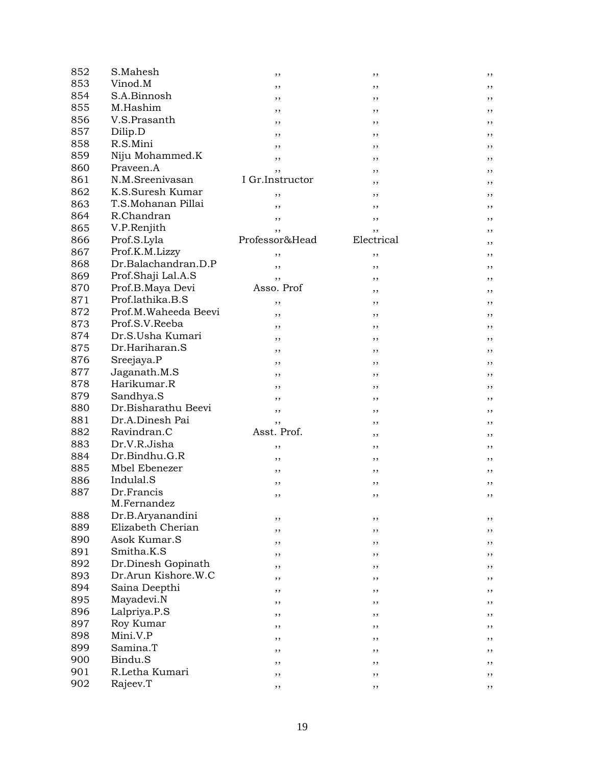| 852 | S.Mahesh             | ,,                | ,,         | ,, |
|-----|----------------------|-------------------|------------|----|
| 853 | Vinod.M              | ,,                | ,,         | ,, |
| 854 | S.A.Binnosh          | ,,                | ,,         | ,, |
| 855 | M.Hashim             | ,,                | ,,         | ,, |
| 856 | V.S.Prasanth         | ,,                | ,,         | ,, |
| 857 | Dilip.D              | ,,                | ,,         | ,, |
| 858 | R.S.Mini             | ,,                | ,,         | ,, |
| 859 | Niju Mohammed.K      | ,,                | ,,         | ,, |
| 860 | Praveen.A            | ,,                | ,,         | ,, |
| 861 | N.M.Sreenivasan      | I Gr.Instructor   | ,,         | ,, |
| 862 | K.S.Suresh Kumar     | ,,                | ,,         | ,, |
| 863 | T.S.Mohanan Pillai   | ,,                | ,,         | ,, |
| 864 | R.Chandran           | ,,                | ,,         | ,, |
| 865 | V.P.Renjith          | ,,                | ,,         | ,, |
| 866 | Prof.S.Lyla          | Professor&Head    | Electrical | ,, |
| 867 | Prof.K.M.Lizzy       |                   |            |    |
| 868 | Dr.Balachandran.D.P  | ,,<br>,,          | ,,         | ,, |
| 869 | Prof.Shaji Lal.A.S   |                   | ,,         | ,, |
| 870 | Prof.B.Maya Devi     | ,,<br>Asso. Prof  | ,,         | ,, |
| 871 | Prof.lathika.B.S     |                   | ,,         | ,, |
| 872 | Prof.M.Waheeda Beevi | ,,                | ,,         | ,, |
| 873 | Prof.S.V.Reeba       | ,,                | ,,         | ,, |
| 874 | Dr.S.Usha Kumari     | ,,                | ,,         | ,, |
| 875 | Dr.Hariharan.S       | ,,                | ,,         | ,, |
| 876 | Sreejaya.P           | ,,                | ,,         | ,, |
| 877 | Jaganath.M.S         | ,,                | ,,         | ,, |
| 878 | Harikumar.R          | ,,                | ,,         | ,, |
| 879 | Sandhya.S            | ,,                | ,,         | ,, |
| 880 | Dr.Bisharathu Beevi  | ,,                | ,,         | ,, |
| 881 | Dr.A.Dinesh Pai      | ,,                | ,,         | ,, |
| 882 | Ravindran.C          | ,,<br>Asst. Prof. | ,,         | ,, |
| 883 | Dr.V.R.Jisha         |                   | ,,         | ,, |
| 884 | Dr.Bindhu.G.R        | ,,                | ,,         | ,, |
| 885 | Mbel Ebenezer        | ,,                | ,,         | ,, |
| 886 | Indulal.S            | ,,                | ,,         | ,, |
| 887 | Dr.Francis           | ,,                | ,,         | ,, |
|     | M.Fernandez          | ,,                | ,,         | ,, |
| 888 | Dr.B.Aryanandini     |                   |            |    |
| 889 | Elizabeth Cherian    | ,,                | ,,         | ,, |
| 890 | Asok Kumar.S         | ,,                | ,,         | ,, |
| 891 | Smitha.K.S           | ,,                | $, \,$     | ,, |
| 892 | Dr.Dinesh Gopinath   | ,,                | ,,         | ,, |
| 893 | Dr.Arun Kishore.W.C  | ,,                | ,,         | ,, |
| 894 | Saina Deepthi        | ,,                | $, \,$     | ,, |
| 895 | Mayadevi.N           | ,,                | ,,         | ,, |
| 896 | Lalpriya.P.S         | ,,                | ,,         | ,, |
| 897 | Roy Kumar            | ,,                | ,,         | ,, |
| 898 | Mini.V.P             | ,,                | ,,         | ,, |
| 899 | Samina.T             | ,,                | ,,         | ,, |
| 900 | Bindu.S              | ,,                | ,,         | ,, |
| 901 | R.Letha Kumari       | ,,                | ,,         | ,, |
| 902 | Rajeev.T             | ,,                | ,,         | ,, |
|     |                      | ,,                | , ,        | ,, |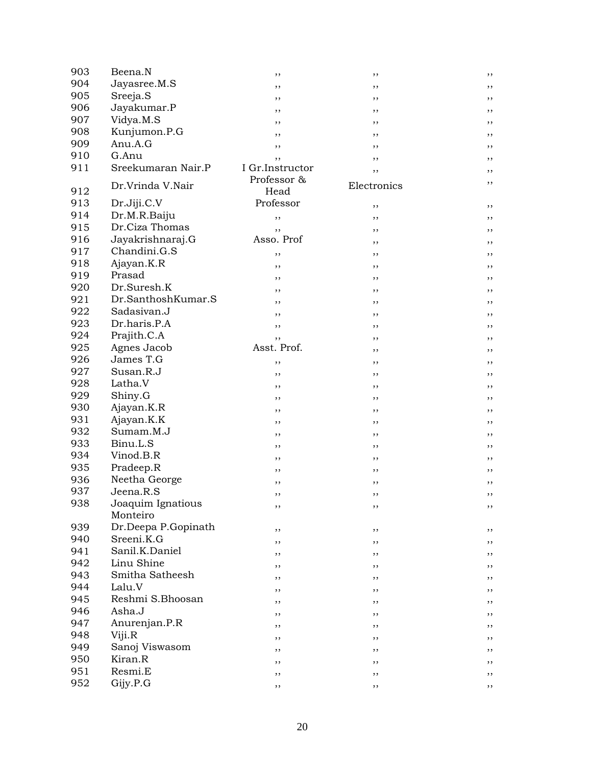| 903 | Beena.N             | ,,              | , ,         | ,, |
|-----|---------------------|-----------------|-------------|----|
| 904 | Jayasree.M.S        | ,,              | ,,          | ,, |
| 905 | Sreeja.S            | ,,              | ,,          | ,, |
| 906 | Jayakumar.P         | ,,              | ,,          | ,, |
| 907 | Vidya.M.S           | ,,              | ,,          | ,, |
| 908 | Kunjumon.P.G        | ,,              | ,,          | ,, |
| 909 | Anu.A.G             | ,,              | ,,          | ,, |
| 910 | G.Anu               | ,,              | ,,          | ,, |
| 911 | Sreekumaran Nair.P  | I Gr.Instructor | ,,          | ,, |
|     |                     | Professor &     |             | ,, |
| 912 | Dr.Vrinda V.Nair    | Head            | Electronics |    |
| 913 | Dr.Jiji.C.V         | Professor       | ,,          | ,, |
| 914 | Dr.M.R.Baiju        | ,,              | ,,          | ,, |
| 915 | Dr.Ciza Thomas      | ,,              | ,,          | ,, |
| 916 | Jayakrishnaraj.G    | Asso. Prof      | ,,          | ,, |
| 917 | Chandini.G.S        | ,,              | ,,          | ,, |
| 918 | Ajayan.K.R          | ,,              | ,,          | ,, |
| 919 | Prasad              | ,,              | ,,          | ,, |
| 920 | Dr.Suresh.K         | ,,              | ,,          | ,, |
| 921 | Dr.SanthoshKumar.S  | ,,              | ,,          | ,, |
| 922 | Sadasivan.J         | ,,              | ,,          | ,, |
| 923 | Dr.haris.P.A        | ,,              | ,,          | ,, |
| 924 | Prajith.C.A         | ,,              | ,,          | ,, |
| 925 | Agnes Jacob         | Asst. Prof.     | ,,          | ,, |
| 926 | James T.G           | ,,              | ,,          | ,, |
| 927 | Susan.R.J           | ,,              | ,,          | ,, |
| 928 | Latha.V             | ,,              | ,,          | ,, |
| 929 | Shiny.G             | ,,              | ,,          | ,, |
| 930 | Ajayan.K.R          | ,,              | ,,          | ,, |
| 931 | Ajayan.K.K          | ,,              | ,,          | ,, |
| 932 | Sumam.M.J           | ,,              | ,,          | ,, |
| 933 | Binu.L.S            | ,,              | ,,          | ,, |
| 934 | Vinod.B.R           | ,,              | ,,          | ,, |
| 935 | Pradeep.R           | ,,              | ,,          | ,, |
| 936 | Neetha George       | ,,              | ,,          | ,, |
| 937 | Jeena.R.S           | ,,              | ,,          | ,, |
| 938 | Joaquim Ignatious   | ,,              | ,,          | ,, |
|     | Monteiro            |                 |             |    |
| 939 | Dr.Deepa P.Gopinath | ,,              | ,,          | ,, |
| 940 | Sreeni.K.G          | ,,              | ,,          | ,, |
| 941 | Sanil.K.Daniel      | ,,              | ,,          | ,, |
| 942 | Linu Shine          | ,,              | ,,          | ,, |
| 943 | Smitha Satheesh     | ,,              | ,,          | ,, |
| 944 | Lalu.V              | ,,              | ,,          | ,, |
| 945 | Reshmi S.Bhoosan    | ,,              | ,,          | ,, |
| 946 | Asha.J              | ,,              | ,,          | ,, |
| 947 | Anurenjan.P.R       | ,,              | ,,          | ,, |
| 948 | Viji.R              | ,,              | ,,          | ,, |
| 949 | Sanoj Viswasom      | ,,              | ,,          | ,, |
| 950 | Kiran.R             | ,,              | ,,          | ,, |
| 951 | Resmi.E             | ,,              | ,,          | ,, |
| 952 | Gijy.P.G            | ,,              | ,,          | ,, |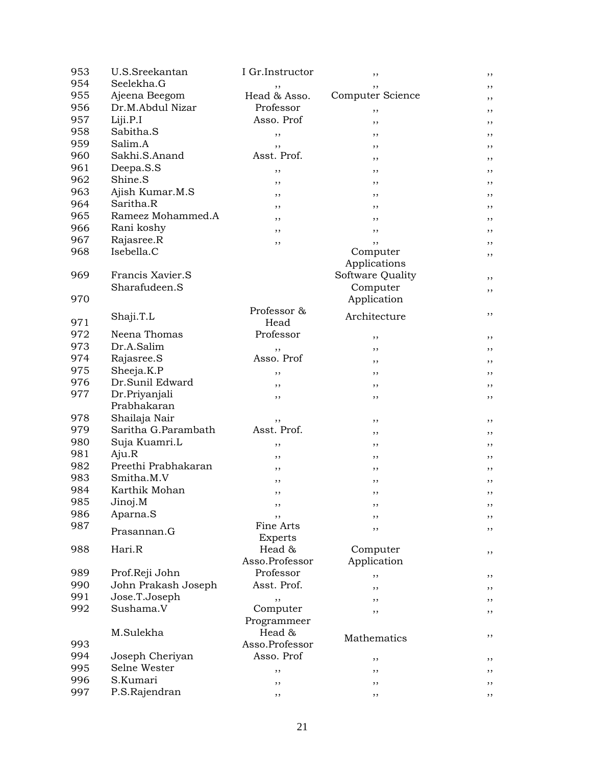| 953 | U.S.Sreekantan      | I Gr.Instructor  | ,,               | ,, |
|-----|---------------------|------------------|------------------|----|
| 954 | Seelekha.G          | ,,               | ,,               | ,, |
| 955 | Ajeena Beegom       | Head & Asso.     | Computer Science |    |
| 956 | Dr.M.Abdul Nizar    | Professor        |                  | ,, |
| 957 | Liji.P.I            | Asso. Prof       | ,,               | ,, |
| 958 | Sabitha.S           |                  | ,,               | ,, |
| 959 | Salim.A             | ,,               | ,,               | ,, |
|     |                     | ,,               | ,,               | ,, |
| 960 | Sakhi.S.Anand       | Asst. Prof.      | ,,               | ,, |
| 961 | Deepa.S.S           | ,,               | ,,               | ,, |
| 962 | Shine.S             | ,,               | ,,               | ,, |
| 963 | Ajish Kumar.M.S     | ,,               | ,,               | ,, |
| 964 | Saritha.R           | ,,               | ,,               | ,, |
| 965 | Rameez Mohammed.A   | ,,               | ,,               | ,, |
| 966 | Rani koshy          | ,,               | ,,               | ,, |
| 967 | Rajasree.R          | ,,               | ,,               | ,, |
| 968 | Isebella.C          |                  | Computer         | ,, |
|     |                     |                  | Applications     |    |
| 969 | Francis Xavier.S    |                  | Software Quality | ,, |
|     | Sharafudeen.S       |                  | Computer         | ,, |
| 970 |                     |                  | Application      |    |
|     |                     | Professor &      |                  |    |
| 971 | Shaji.T.L           | Head             | Architecture     | ,, |
| 972 | Neena Thomas        | Professor        |                  |    |
| 973 | Dr.A.Salim          |                  | ,,               | ,, |
| 974 | Rajasree.S          | ,,<br>Asso. Prof | ,,               | ,, |
| 975 | Sheeja.K.P          |                  | ,,               | ,, |
| 976 | Dr.Sunil Edward     | ,,               | ,,               | ,, |
|     |                     | ,,               | ,,               | ,, |
| 977 | Dr.Priyanjali       | ,,               | ,,               | ,, |
|     | Prabhakaran         |                  |                  |    |
| 978 | Shailaja Nair       | ,,               | ,,               | ,, |
| 979 | Saritha G.Parambath | Asst. Prof.      | ,,               | ,, |
| 980 | Suja Kuamri.L       | ,,               | ,,               | ,, |
| 981 | Aju.R               | ,,               | ,,               | ,, |
| 982 | Preethi Prabhakaran | ,,               | ,,               | ,, |
| 983 | Smitha.M.V          | ,,               | ,,               | ,, |
| 984 | Karthik Mohan       | ,,               | ,,               | ,, |
| 985 | Jinoj.M             | ,,               | ,,               | ,, |
| 986 | Aparna.S            | ,,               | ,,               | ,, |
| 987 |                     | Fine Arts        | ,,               | ,, |
|     | Prasannan.G         | Experts          |                  |    |
| 988 | Hari.R              | Head &           | Computer         |    |
|     |                     | Asso.Professor   | Application      | ,, |
| 989 | Prof.Reji John      | Professor        |                  |    |
| 990 | John Prakash Joseph | Asst. Prof.      | ,,               | ,, |
| 991 | Jose.T.Joseph       |                  | ,,               | ,, |
| 992 | Sushama.V           | ,,               | ,,               | ,, |
|     |                     | Computer         | ,,               | ,, |
|     |                     | Programmeer      |                  |    |
|     | M.Sulekha           | Head &           | Mathematics      | ,, |
| 993 |                     | Asso.Professor   |                  |    |
| 994 | Joseph Cheriyan     | Asso. Prof       | ,,               | ,, |
| 995 | Selne Wester        | ,,               | ,,               | ,, |
| 996 | S.Kumari            | ,,               | ,,               | ,, |
| 997 | P.S.Rajendran       | ,,               | , ,              | ,, |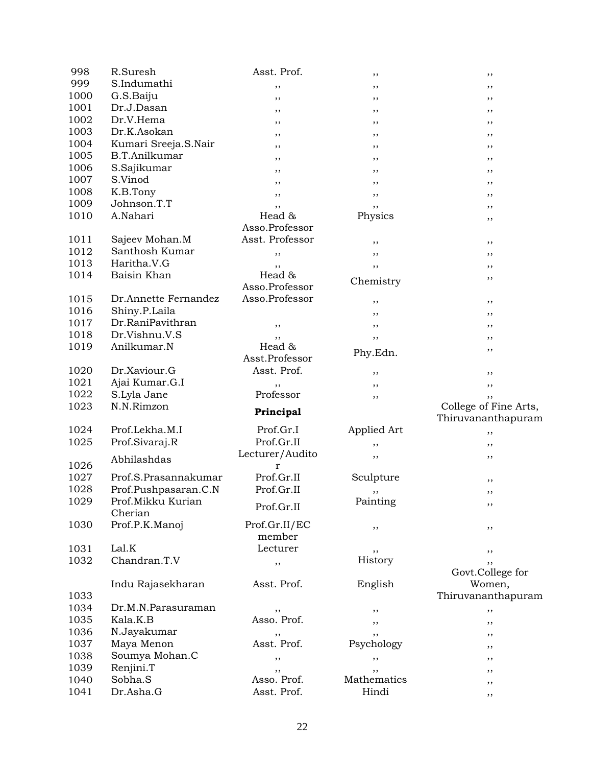| 998  | R.Suresh             | Asst. Prof.     | ,,          | ,,                    |
|------|----------------------|-----------------|-------------|-----------------------|
| 999  | S.Indumathi          | ,,              | ,,          | ,,                    |
| 1000 | G.S.Baiju            | ,,              | ,,          | ,,                    |
| 1001 | Dr.J.Dasan           | ,,              | ,,          | ,,                    |
| 1002 | Dr.V.Hema            | ,,              | ,,          | ,,                    |
| 1003 | Dr.K.Asokan          |                 |             |                       |
| 1004 | Kumari Sreeja.S.Nair | ,,              | ,,          | ,,                    |
| 1005 | B.T.Anilkumar        | ,,              | ,,          | ,,                    |
| 1006 | S.Sajikumar          | ,,              | ,,          | ,,                    |
| 1007 | S.Vinod              | ,,              | ,,          | ,,                    |
|      |                      | ,,              | ,,          | ,,                    |
| 1008 | K.B.Tony             | ,,              | ,,          | ,,                    |
| 1009 | Johnson.T.T          | ,,              | ,,          | ,,                    |
| 1010 | A.Nahari             | Head &          | Physics     | ,,                    |
|      |                      | Asso.Professor  |             |                       |
| 1011 | Sajeev Mohan.M       | Asst. Professor | ,,          | ,,                    |
| 1012 | Santhosh Kumar       | ,,              | ,,          | ,,                    |
| 1013 | Haritha.V.G          | ,,              | ,,          | ,,                    |
| 1014 | Baisin Khan          | Head &          | Chemistry   | ,,                    |
|      |                      | Asso.Professor  |             |                       |
| 1015 | Dr.Annette Fernandez | Asso.Professor  | ,,          | ,,                    |
| 1016 | Shiny.P.Laila        |                 | ,,          |                       |
| 1017 | Dr.RaniPavithran     |                 |             | ,,                    |
| 1018 | Dr.Vishnu.V.S        | ,,              | ,,          | ,,                    |
| 1019 | Anilkumar.N          | ,,<br>Head &    | , ,         | ,,                    |
|      |                      | Asst.Professor  | Phy.Edn.    | ,,                    |
| 1020 | Dr.Xaviour.G         | Asst. Prof.     | ,,          | ,,                    |
| 1021 | Ajai Kumar.G.I       | ,,              | ,,          | ,,                    |
| 1022 | S.Lyla Jane          | Professor       | ,,          | ,,                    |
| 1023 | N.N.Rimzon           | Principal       |             | College of Fine Arts, |
|      |                      |                 |             | Thiruvananthapuram    |
| 1024 | Prof.Lekha.M.I       | Prof.Gr.I       | Applied Art | ,,                    |
| 1025 | Prof.Sivaraj.R       | Prof.Gr.II      | ,,          | ,,                    |
|      | Abhilashdas          | Lecturer/Audito | ,,          | ,,                    |
| 1026 |                      | $\mathbf r$     |             |                       |
| 1027 | Prof.S.Prasannakumar | Prof.Gr.II      | Sculpture   | ,,                    |
| 1028 | Prof.Pushpasaran.C.N | Prof.Gr.II      |             |                       |
| 1029 |                      |                 |             | ,,                    |
|      | Prof.Mikku Kurian    |                 | ,,          |                       |
|      | Cherian              | Prof.Gr.II      | Painting    | ,,                    |
| 1030 | Prof.P.K.Manoj       | Prof.Gr.II/EC   | , ,         | ,,                    |
|      |                      | member          |             |                       |
| 1031 | Lal.K                | Lecturer        | ,,          | ,,                    |
| 1032 | Chandran.T.V         | ,,              | History     | ,,                    |
|      |                      |                 |             | Govt.College for      |
|      | Indu Rajasekharan    | Asst. Prof.     | English     | Women,                |
| 1033 |                      |                 |             | Thiruvananthapuram    |
| 1034 | Dr.M.N.Parasuraman   | ,,              | ,,          | ,,                    |
| 1035 | Kala.K.B             | Asso. Prof.     | ,,          | ,,                    |
| 1036 | N.Jayakumar          | ,,              | ,,          | ,,                    |
| 1037 | Maya Menon           | Asst. Prof.     | Psychology  | ,,                    |
| 1038 | Soumya Mohan.C       | ,,              | ,,          | ,,                    |
| 1039 | Renjini.T            | ,,              | ,,          | ,,                    |
| 1040 | Sobha.S              | Asso. Prof.     | Mathematics | ,,                    |